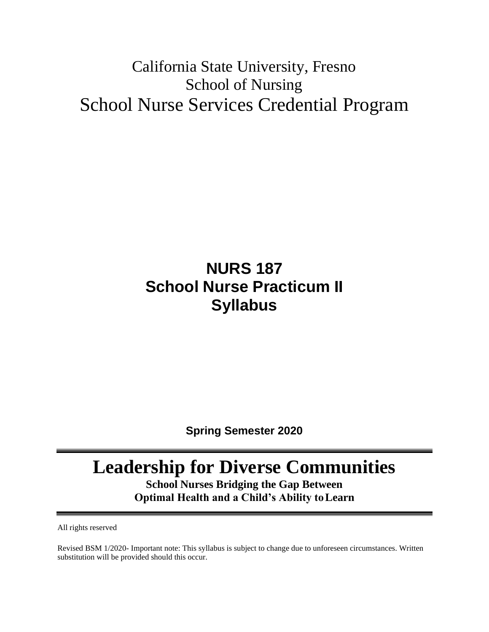# California State University, Fresno School of Nursing School Nurse Services Credential Program

# **NURS 187 School Nurse Practicum II Syllabus**

**Spring Semester 2020**

# **Leadership for Diverse Communities**

**School Nurses Bridging the Gap Between Optimal Health and a Child's Ability toLearn**

All rights reserved

Revised BSM 1/2020- Important note: This syllabus is subject to change due to unforeseen circumstances. Written substitution will be provided should this occur.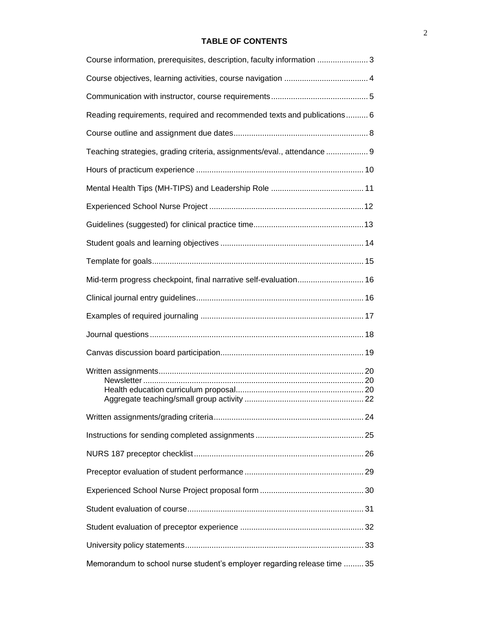### **TABLE OF CONTENTS**

| Course information, prerequisites, description, faculty information 3    |
|--------------------------------------------------------------------------|
|                                                                          |
|                                                                          |
| Reading requirements, required and recommended texts and publications 6  |
|                                                                          |
| Teaching strategies, grading criteria, assignments/eval., attendance  9  |
|                                                                          |
|                                                                          |
|                                                                          |
|                                                                          |
|                                                                          |
|                                                                          |
| Mid-term progress checkpoint, final narrative self-evaluation 16         |
|                                                                          |
|                                                                          |
|                                                                          |
|                                                                          |
|                                                                          |
|                                                                          |
|                                                                          |
|                                                                          |
|                                                                          |
|                                                                          |
|                                                                          |
|                                                                          |
|                                                                          |
| Memorandum to school nurse student's employer regarding release time  35 |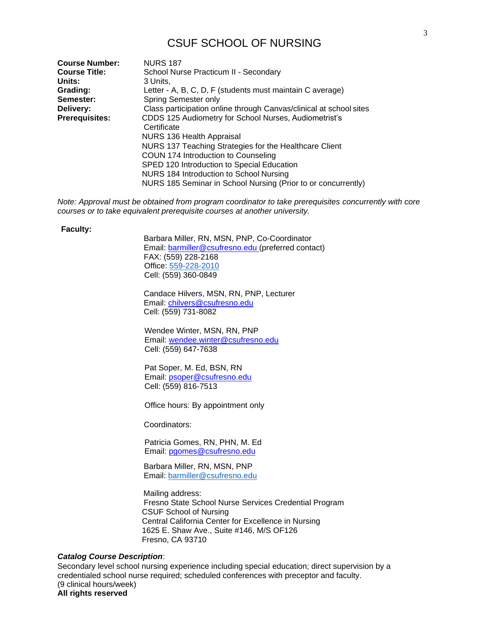# CSUF SCHOOL OF NURSING

| <b>Course Number:</b> | <b>NURS 187</b>                                                    |
|-----------------------|--------------------------------------------------------------------|
| <b>Course Title:</b>  | School Nurse Practicum II - Secondary                              |
| Units:                | 3 Units.                                                           |
| Grading:              | Letter - A, B, C, D, F (students must maintain C average)          |
| Semester:             | Spring Semester only                                               |
| Delivery:             | Class participation online through Canvas/clinical at school sites |
| <b>Prerequisites:</b> | CDDS 125 Audiometry for School Nurses, Audiometrist's              |
|                       | Certificate                                                        |
|                       | NURS 136 Health Appraisal                                          |
|                       | NURS 137 Teaching Strategies for the Healthcare Client             |
|                       | COUN 174 Introduction to Counseling                                |
|                       | SPED 120 Introduction to Special Education                         |
|                       | NURS 184 Introduction to School Nursing                            |
|                       | NURS 185 Seminar in School Nursing (Prior to or concurrently)      |

*Note: Approval must be obtained from program coordinator to take prerequisites concurrently with core courses or to take equivalent prerequisite courses at another university.*

#### **Faculty:**

Barbara Miller, RN, MSN, PNP, Co-Coordinator Email: [barmiller@csufresno.edu \(](mailto:barmiller@csufresno.edu)preferred contact) FAX: (559) 228-2168 Office: 559-228-2010 Cell: (559) 360-0849

Candace Hilvers, MSN, RN, PNP, Lecturer Email: [chilvers@csufresno.edu](mailto:chilvers@csufresno.edu) Cell: (559) 731-8082

 Wendee Winter, MSN, RN, PNP Email: [wendee.winter@csufresno.edu](mailto:wendee.winter@csufresno.edu) Cell: (559) 647-7638

 Pat Soper, M. Ed, BSN, RN Email: [psoper@csufresno.edu](mailto:psoper@csufresno.edu) Cell: (559) 816-7513

Office hours: By appointment only

Coordinators:

 Patricia Gomes, RN, PHN, M. Ed Email: [pgomes@csufresno.edu](mailto:pgomes@csufresno.edu)

 Barbara Miller, RN, MSN, PNP Email: [barmiller@csufresno.edu](mailto:barmiller@csufresno.edu)

Mailing address: Fresno State School Nurse Services Credential Program CSUF School of Nursing Central California Center for Excellence in Nursing 1625 E. Shaw Ave., Suite #146, M/S OF126 Fresno, CA 93710

#### *Catalog Course Description*:

Secondary level school nursing experience including special education; direct supervision by a credentialed school nurse required; scheduled conferences with preceptor and faculty. (9 clinical hours/week) **All rights reserved**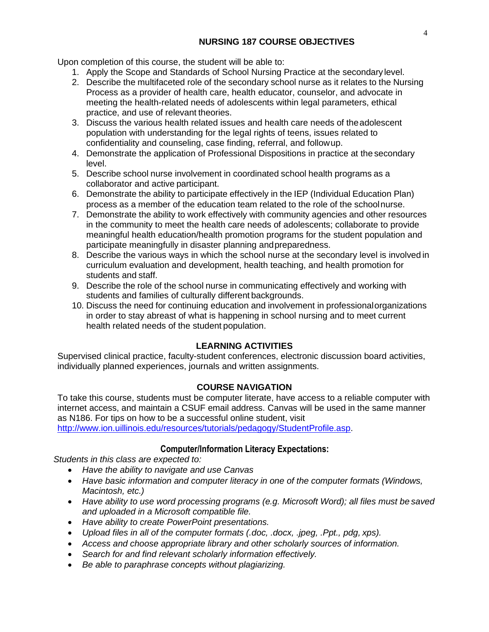Upon completion of this course, the student will be able to:

- 1. Apply the Scope and Standards of School Nursing Practice at the secondary level.
- 2. Describe the multifaceted role of the secondary school nurse as it relates to the Nursing Process as a provider of health care, health educator, counselor, and advocate in meeting the health-related needs of adolescents within legal parameters, ethical practice, and use of relevant theories.
- 3. Discuss the various health related issues and health care needs of theadolescent population with understanding for the legal rights of teens, issues related to confidentiality and counseling, case finding, referral, and followup.
- 4. Demonstrate the application of Professional Dispositions in practice at the secondary level.
- 5. Describe school nurse involvement in coordinated school health programs as a collaborator and active participant.
- 6. Demonstrate the ability to participate effectively in the IEP (Individual Education Plan) process as a member of the education team related to the role of the schoolnurse.
- 7. Demonstrate the ability to work effectively with community agencies and other resources in the community to meet the health care needs of adolescents; collaborate to provide meaningful health education/health promotion programs for the student population and participate meaningfully in disaster planning andpreparedness.
- 8. Describe the various ways in which the school nurse at the secondary level is involved in curriculum evaluation and development, health teaching, and health promotion for students and staff.
- 9. Describe the role of the school nurse in communicating effectively and working with students and families of culturally different backgrounds.
- 10. Discuss the need for continuing education and involvement in professionalorganizations in order to stay abreast of what is happening in school nursing and to meet current health related needs of the student population.

# **LEARNING ACTIVITIES**

Supervised clinical practice, faculty-student conferences, electronic discussion board activities, individually planned experiences, journals and written assignments.

# **COURSE NAVIGATION**

To take this course, students must be computer literate, have access to a reliable computer with internet access, and maintain a CSUF email address. Canvas will be used in the same manner as N186. For tips on how to be a successful online student, visit [http://www.ion.uillinois.edu/resources/tutorials/pedagogy/StudentProfile.asp.](http://www.ion.uillinois.edu/resources/tutorials/pedagogy/StudentProfile.asp)

# **Computer/Information Literacy Expectations:**

*Students in this class are expected to:*

- *Have the ability to navigate and use Canvas*
- *Have basic information and computer literacy in one of the computer formats (Windows, Macintosh, etc.)*
- Have ability to use word processing programs (e.g. Microsoft Word); all files must be saved *and uploaded in a Microsoft compatible file.*
- *Have ability to create PowerPoint presentations.*
- *Upload files in all of the computer formats (.doc, .docx, .jpeg, .Ppt., pdg, xps).*
- Access and choose appropriate library and other scholarly sources of *information*.
- *Search for and find relevant scholarly information effectively.*
- *Be able to paraphrase concepts without plagiarizing.*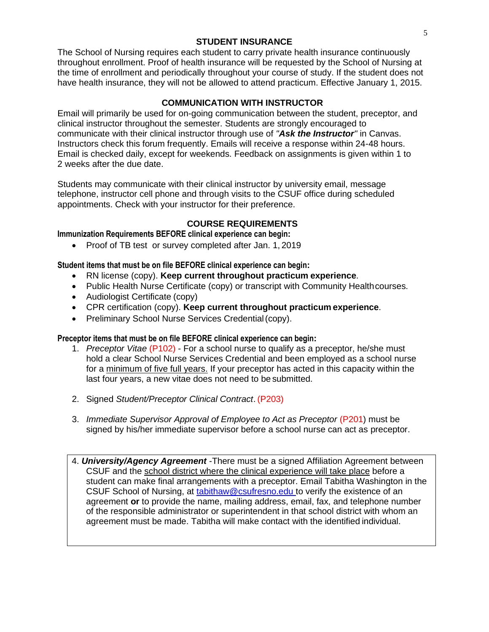# **STUDENT INSURANCE**

The School of Nursing requires each student to carry private health insurance continuously throughout enrollment. Proof of health insurance will be requested by the School of Nursing at the time of enrollment and periodically throughout your course of study. If the student does not have health insurance, they will not be allowed to attend practicum. Effective January 1, 2015.

# **COMMUNICATION WITH INSTRUCTOR**

Email will primarily be used for on-going communication between the student, preceptor, and clinical instructor throughout the semester. Students are strongly encouraged to communicate with their clinical instructor through use of *"Ask the Instructor"* in Canvas. Instructors check this forum frequently. Emails will receive a response within 24-48 hours. Email is checked daily, except for weekends. Feedback on assignments is given within 1 to 2 weeks after the due date.

Students may communicate with their clinical instructor by university email, message telephone, instructor cell phone and through visits to the CSUF office during scheduled appointments. Check with your instructor for their preference.

# **COURSE REQUIREMENTS**

# **Immunization Requirements BEFORE clinical experience can begin:**

• Proof of TB test or survey completed after Jan. 1, 2019

#### **Student items that must be on file BEFORE clinical experience can begin:**

- RN license (copy). **Keep current throughout practicum experience**.
- Public Health Nurse Certificate (copy) or transcript with Community Health courses.
- Audiologist Certificate (copy)
- CPR certification (copy). **Keep current throughout practicum experience**.
- Preliminary School Nurse Services Credential(copy).

#### **Preceptor items that must be on file BEFORE clinical experience can begin:**

- 1. *Preceptor Vitae* (P102) For a school nurse to qualify as a preceptor, he/she must hold a clear School Nurse Services Credential and been employed as a school nurse for a minimum of five full years. If your preceptor has acted in this capacity within the last four years, a new vitae does not need to be submitted.
- 2. Signed *Student/Preceptor Clinical Contract*. (P203)
- 3. *Immediate Supervisor Approval of Employee to Act as Preceptor* (P201) must be signed by his/her immediate supervisor before a school nurse can act as preceptor.
- 4. *University/Agency Agreement* -There must be a signed Affiliation Agreement between CSUF and the school district where the clinical experience will take place before a student can make final arrangements with a preceptor. Email Tabitha Washington in the CSUF School of Nursing, at [tabithaw@csufresno.edu t](mailto:tabithaw@csufresno.edu)o verify the existence of an agreement **or** to provide the name, mailing address, email, fax, and telephone number of the responsible administrator or superintendent in that school district with whom an agreement must be made. Tabitha will make contact with the identified individual.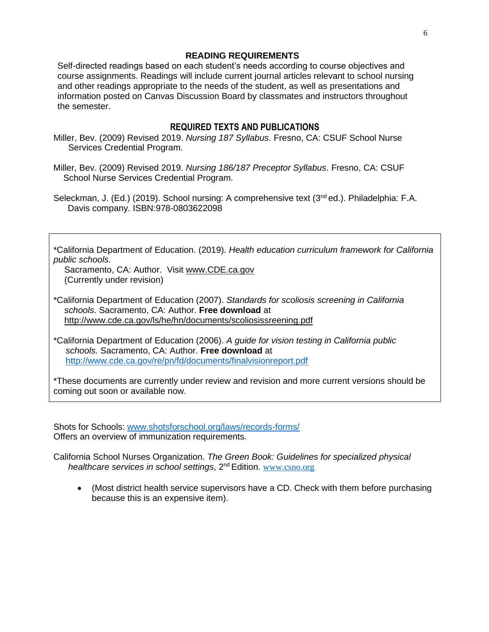#### **READING REQUIREMENTS**

Self-directed readings based on each student's needs according to course objectives and course assignments. Readings will include current journal articles relevant to school nursing and other readings appropriate to the needs of the student, as well as presentations and information posted on Canvas Discussion Board by classmates and instructors throughout the semester.

### **REQUIRED TEXTS AND PUBLICATIONS**

- Miller, Bev. (2009) Revised 2019. *Nursing 187 Syllabus*. Fresno, CA: CSUF School Nurse Services Credential Program.
- Miller, Bev. (2009) Revised 2019. *Nursing 186/187 Preceptor Syllabus*. Fresno, CA: CSUF School Nurse Services Credential Program.

Seleckman, J. (Ed.) (2019). School nursing: A comprehensive text (3<sup>nd</sup> ed.). Philadelphia: F.A. Davis company. ISBN:978-0803622098

\*California Department of Education. (2019). *Health education curriculum framework for California public schools.*

Sacramento, CA: Author. Visit [www.CDE.ca.gov](http://www.cde.ca.gov/) (Currently under revision)

\*California Department of Education (2007). *Standards for scoliosis screening in California schools*. Sacramento, CA: Author. **Free download** at <http://www.cde.ca.gov/ls/he/hn/documents/scoliosissreening.pdf>

\*California Department of Education (2006). *A guide for vision testing in California public schools.* Sacramento, CA: Author. **Free download** at <http://www.cde.ca.gov/re/pn/fd/documents/finalvisionreport.pdf>

\*These documents are currently under review and revision and more current versions should be coming out soon or available now.

Shots for Schools: [www.shotsforschool.org/laws/records-forms/](http://www.shotsforschool.org/laws/records-forms/) Offers an overview of immunization requirements.

California School Nurses Organization. *The Green Book: Guidelines for specialized physical healthcare services in school settings*, 2nd Edition. [www.csno.org](http://www.csno.org/)

• (Most district health service supervisors have a CD. Check with them before purchasing because this is an expensive item).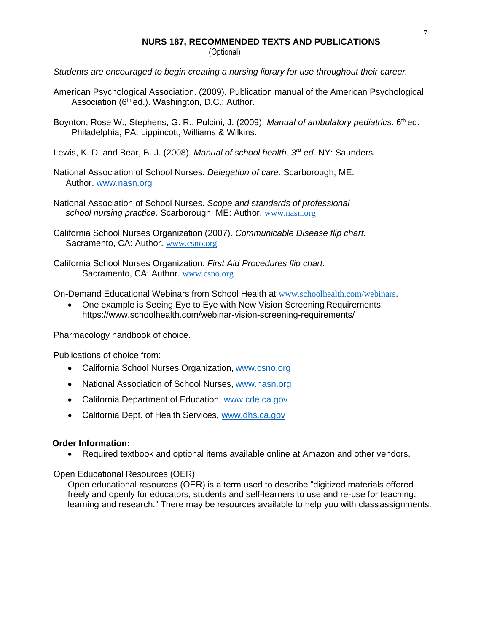# **NURS 187, RECOMMENDED TEXTS AND PUBLICATIONS**

(Optional)

*Students are encouraged to begin creating a nursing library for use throughout their career.*

- American Psychological Association. (2009). Publication manual of the American Psychological Association  $(6<sup>th</sup>$ ed.). Washington, D.C.: Author.
- Boynton, Rose W., Stephens, G. R., Pulcini, J. (2009). *Manual of ambulatory pediatrics*. 6<sup>th</sup> ed. Philadelphia, PA: Lippincott, Williams & Wilkins.
- Lewis, K. D. and Bear, B. J. (2008). *Manual of school health, 3rd ed.* NY: Saunders.
- National Association of School Nurses. *Delegation of care.* Scarborough, ME: Author. [www.nasn.org](http://www.nasn.org/)
- National Association of School Nurses. *Scope and* s*tandards of professional school nursing practice.* Scarborough, ME: Author. [www.nasn.org](http://www.nasn.org/)
- California School Nurses Organization (2007). *Communicable Disease flip chart.* Sacramento, CA: Author. [www.csno.org](http://www.csno.org/)
- California School Nurses Organization. *First Aid Procedures flip chart*. Sacramento, CA: Author. [www.csno.org](http://www.csno.org/)

On-Demand Educational Webinars from School Health at [www.schoolhealth.com/webinars](http://www.schoolhealth.com/webinars).

• One example is Seeing Eye to Eye with New Vision Screening Requirements: https:/[/www.schoolhealth.com/webinar-vision-screening-requirements/](http://www.schoolhealth.com/webinar-vision-screening-requirements/)

Pharmacology handbook of choice.

Publications of choice from:

- California School Nurses Organization, [www.csno.org](http://www.csno.org/)
- National Association of School Nurses, [www.nasn.org](http://www.nasn.org/)
- California Department of Education, [www.cde.ca.gov](http://www.cde.ca.gov/)
- California Dept. of Health Services, [www.dhs.ca.gov](http://www.dhs.ca.gov/)

#### **Order Information:**

• Required textbook and optional items available online at Amazon and other vendors.

Open Educational Resources (OER)

Open educational resources (OER) is a term used to describe "digitized materials offered freely and openly for educators, students and self-learners to use and re-use for teaching, learning and research." There may be resources available to help you with classassignments.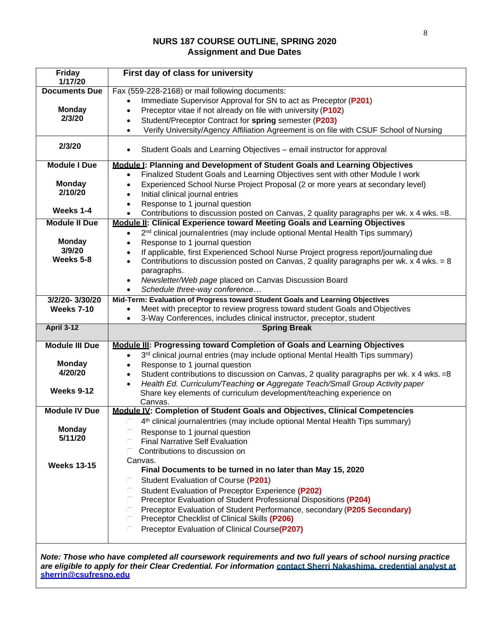# **NURS 187 COURSE OUTLINE, SPRING 2020 Assignment and Due Dates**

| <b>Friday</b><br>1/17/20 | First day of class for university                                                                                                                                                     |
|--------------------------|---------------------------------------------------------------------------------------------------------------------------------------------------------------------------------------|
| <b>Documents Due</b>     | Fax (559-228-2168) or mail following documents:                                                                                                                                       |
|                          | Immediate Supervisor Approval for SN to act as Preceptor (P201)                                                                                                                       |
| <b>Monday</b>            | Preceptor vitae if not already on file with university (P102)<br>$\bullet$                                                                                                            |
| 2/3/20                   | Student/Preceptor Contract for spring semester (P203)<br>$\bullet$                                                                                                                    |
|                          | Verify University/Agency Affiliation Agreement is on file with CSUF School of Nursing<br>$\bullet$                                                                                    |
| 2/3/20                   | Student Goals and Learning Objectives - email instructor for approval<br>$\bullet$                                                                                                    |
| <b>Module I Due</b>      | Module  : Planning and Development of Student Goals and Learning Objectives                                                                                                           |
|                          | Finalized Student Goals and Learning Objectives sent with other Module I work<br>$\bullet$                                                                                            |
| <b>Monday</b>            | Experienced School Nurse Project Proposal (2 or more years at secondary level)<br>$\bullet$                                                                                           |
| 2/10/20                  | Initial clinical journal entries<br>$\bullet$                                                                                                                                         |
|                          | Response to 1 journal question<br>$\bullet$                                                                                                                                           |
| Weeks 1-4                | Contributions to discussion posted on Canvas, 2 quality paragraphs per wk. x 4 wks. = 8.<br>$\bullet$                                                                                 |
| <b>Module II Due</b>     | Module II: Clinical Experience toward Meeting Goals and Learning Objectives                                                                                                           |
|                          | 2 <sup>nd</sup> clinical journalentries (may include optional Mental Health Tips summary)<br>$\bullet$                                                                                |
| <b>Monday</b>            | Response to 1 journal question<br>$\bullet$                                                                                                                                           |
| 3/9/20                   | If applicable, first Experienced School Nurse Project progress report/journaling due<br>$\bullet$                                                                                     |
| Weeks 5-8                | Contributions to discussion posted on Canvas, 2 quality paragraphs per wk. x 4 wks. = 8<br>$\bullet$                                                                                  |
|                          | paragraphs.                                                                                                                                                                           |
|                          | Newsletter/Web page placed on Canvas Discussion Board<br>$\bullet$                                                                                                                    |
|                          | Schedule three-way conference<br>$\bullet$                                                                                                                                            |
| 3/2/20-3/30/20           | Mid-Term: Evaluation of Progress toward Student Goals and Learning Objectives                                                                                                         |
| <b>Weeks 7-10</b>        | Meet with preceptor to review progress toward student Goals and Objectives                                                                                                            |
|                          | 3-Way Conferences, includes clinical instructor, preceptor, student                                                                                                                   |
| <b>April 3-12</b>        | <b>Spring Break</b>                                                                                                                                                                   |
| <b>Module III Due</b>    | Module III: Progressing toward Completion of Goals and Learning Objectives                                                                                                            |
|                          | 3rd clinical journal entries (may include optional Mental Health Tips summary)<br>$\bullet$                                                                                           |
| <b>Monday</b>            | Response to 1 journal question                                                                                                                                                        |
| 4/20/20                  | $\bullet$                                                                                                                                                                             |
|                          | Student contributions to discussion on Canvas, 2 quality paragraphs per wk. x 4 wks. = 8<br>$\bullet$<br>Health Ed. Curriculum/Teaching or Aggregate Teach/Small Group Activity paper |
| <b>Weeks 9-12</b>        | $\bullet$<br>Share key elements of curriculum development/teaching experience on                                                                                                      |
|                          | Canvas.                                                                                                                                                                               |
| <b>Module IV Due</b>     | Module IV: Completion of Student Goals and Objectives, Clinical Competencies                                                                                                          |
|                          | 4 <sup>th</sup> clinical journalentries (may include optional Mental Health Tips summary)                                                                                             |
| <b>Monday</b>            | Response to 1 journal question                                                                                                                                                        |
| 5/11/20                  | <b>Final Narrative Self Evaluation</b>                                                                                                                                                |
|                          | Contributions to discussion on                                                                                                                                                        |
|                          | Canvas.                                                                                                                                                                               |
| <b>Weeks 13-15</b>       | Final Documents to be turned in no later than May 15, 2020                                                                                                                            |
|                          | Student Evaluation of Course (P201)                                                                                                                                                   |
|                          | Student Evaluation of Preceptor Experience (P202)                                                                                                                                     |
|                          | Preceptor Evaluation of Student Professional Dispositions (P204)                                                                                                                      |
|                          |                                                                                                                                                                                       |
|                          | Preceptor Evaluation of Student Performance, secondary (P205 Secondary)                                                                                                               |
|                          | Preceptor Checklist of Clinical Skills (P206)                                                                                                                                         |
|                          | Preceptor Evaluation of Clinical Course(P207)<br>П                                                                                                                                    |
|                          |                                                                                                                                                                                       |

*Note: Those who have completed all coursework requirements and two full years of school nursing practice are eligible to apply for their Clear Credential. For information* **contact Sherri Nakashima, credential analyst at [sherrin@csufresno.edu](mailto:sherrin@csufresno.edu)**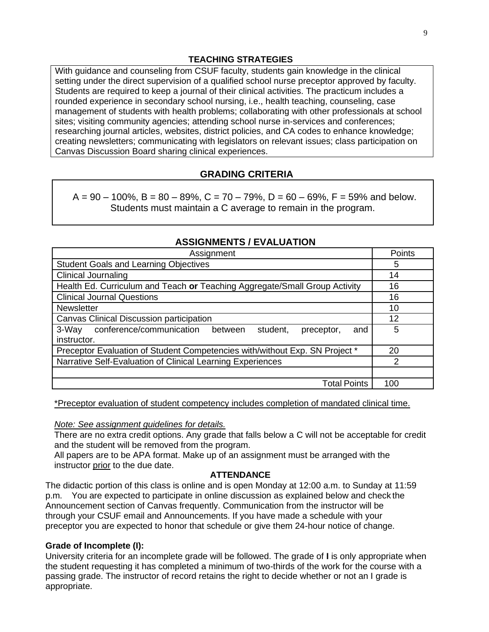#### **TEACHING STRATEGIES**

With guidance and counseling from CSUF faculty, students gain knowledge in the clinical setting under the direct supervision of a qualified school nurse preceptor approved by faculty. Students are required to keep a journal of their clinical activities. The practicum includes a rounded experience in secondary school nursing, i.e., health teaching, counseling, case management of students with health problems; collaborating with other professionals at school sites; visiting community agencies; attending school nurse in-services and conferences; researching journal articles, websites, district policies, and CA codes to enhance knowledge; creating newsletters; communicating with legislators on relevant issues; class participation on Canvas Discussion Board sharing clinical experiences.

#### **GRADING CRITERIA**

 $A = 90 - 100\%$ ,  $B = 80 - 89\%$ ,  $C = 70 - 79\%$ ,  $D = 60 - 69\%$ ,  $F = 59\%$  and below. Students must maintain a C average to remain in the program.

| <b>ASSIGNMENTS / EVALUATION</b>                                               |        |  |  |
|-------------------------------------------------------------------------------|--------|--|--|
| Assignment                                                                    | Points |  |  |
| <b>Student Goals and Learning Objectives</b>                                  | 5      |  |  |
| <b>Clinical Journaling</b>                                                    | 14     |  |  |
| Health Ed. Curriculum and Teach or Teaching Aggregate/Small Group Activity    | 16     |  |  |
| <b>Clinical Journal Questions</b>                                             | 16     |  |  |
| <b>Newsletter</b>                                                             | 10     |  |  |
| Canvas Clinical Discussion participation                                      | 12     |  |  |
| conference/communication<br>3-Way<br>student.<br>preceptor,<br>between<br>and | 5      |  |  |
| instructor.                                                                   |        |  |  |
| Preceptor Evaluation of Student Competencies with/without Exp. SN Project *   | 20     |  |  |
| Narrative Self-Evaluation of Clinical Learning Experiences                    | 2      |  |  |
|                                                                               |        |  |  |
| <b>Total Points</b>                                                           | 100    |  |  |
|                                                                               |        |  |  |

# **ASSIGNMENTS / EVALUATION**

\*Preceptor evaluation of student competency includes completion of mandated clinical time.

#### *Note: See assignment guidelines for details.*

There are no extra credit options. Any grade that falls below a C will not be acceptable for credit and the student will be removed from the program.

All papers are to be APA format. Make up of an assignment must be arranged with the instructor prior to the due date.

#### **ATTENDANCE**

The didactic portion of this class is online and is open Monday at 12:00 a.m. to Sunday at 11:59 p.m. You are expected to participate in online discussion as explained below and check the Announcement section of Canvas frequently. Communication from the instructor will be through your CSUF email and Announcements. If you have made a schedule with your preceptor you are expected to honor that schedule or give them 24-hour notice of change.

#### **Grade of Incomplete (I):**

University criteria for an incomplete grade will be followed. The grade of **I** is only appropriate when the student requesting it has completed a minimum of two-thirds of the work for the course with a passing grade. The instructor of record retains the right to decide whether or not an I grade is appropriate.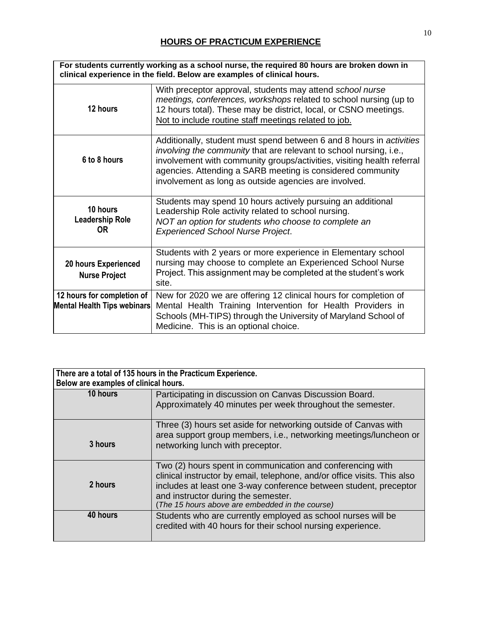| For students currently working as a school nurse, the required 80 hours are broken down in<br>clinical experience in the field. Below are examples of clinical hours. |                                                                                                                                                                                                                                                                                                                                             |  |
|-----------------------------------------------------------------------------------------------------------------------------------------------------------------------|---------------------------------------------------------------------------------------------------------------------------------------------------------------------------------------------------------------------------------------------------------------------------------------------------------------------------------------------|--|
| 12 hours                                                                                                                                                              | With preceptor approval, students may attend school nurse<br>meetings, conferences, workshops related to school nursing (up to<br>12 hours total). These may be district, local, or CSNO meetings.<br>Not to include routine staff meetings related to job.                                                                                 |  |
| 6 to 8 hours                                                                                                                                                          | Additionally, student must spend between 6 and 8 hours in activities<br>involving the community that are relevant to school nursing, i.e.,<br>involvement with community groups/activities, visiting health referral<br>agencies. Attending a SARB meeting is considered community<br>involvement as long as outside agencies are involved. |  |
| 10 hours<br><b>Leadership Role</b><br>0R                                                                                                                              | Students may spend 10 hours actively pursuing an additional<br>Leadership Role activity related to school nursing.<br>NOT an option for students who choose to complete an<br><b>Experienced School Nurse Project.</b>                                                                                                                      |  |
| <b>20 hours Experienced</b><br><b>Nurse Project</b>                                                                                                                   | Students with 2 years or more experience in Elementary school<br>nursing may choose to complete an Experienced School Nurse<br>Project. This assignment may be completed at the student's work<br>site.                                                                                                                                     |  |
| 12 hours for completion of<br>Mental Health Tips webinars                                                                                                             | New for 2020 we are offering 12 clinical hours for completion of<br>Mental Health Training Intervention for Health Providers in<br>Schools (MH-TIPS) through the University of Maryland School of<br>Medicine. This is an optional choice.                                                                                                  |  |

| There are a total of 135 hours in the Practicum Experience.<br>Below are examples of clinical hours. |                                                                                                                                                                                                                                                                                                       |  |
|------------------------------------------------------------------------------------------------------|-------------------------------------------------------------------------------------------------------------------------------------------------------------------------------------------------------------------------------------------------------------------------------------------------------|--|
| 10 hours                                                                                             | Participating in discussion on Canvas Discussion Board.<br>Approximately 40 minutes per week throughout the semester.                                                                                                                                                                                 |  |
| 3 hours                                                                                              | Three (3) hours set aside for networking outside of Canvas with<br>area support group members, i.e., networking meetings/luncheon or<br>networking lunch with preceptor.                                                                                                                              |  |
| 2 hours                                                                                              | Two (2) hours spent in communication and conferencing with<br>clinical instructor by email, telephone, and/or office visits. This also<br>includes at least one 3-way conference between student, preceptor<br>and instructor during the semester.<br>(The 15 hours above are embedded in the course) |  |
| 40 hours                                                                                             | Students who are currently employed as school nurses will be<br>credited with 40 hours for their school nursing experience.                                                                                                                                                                           |  |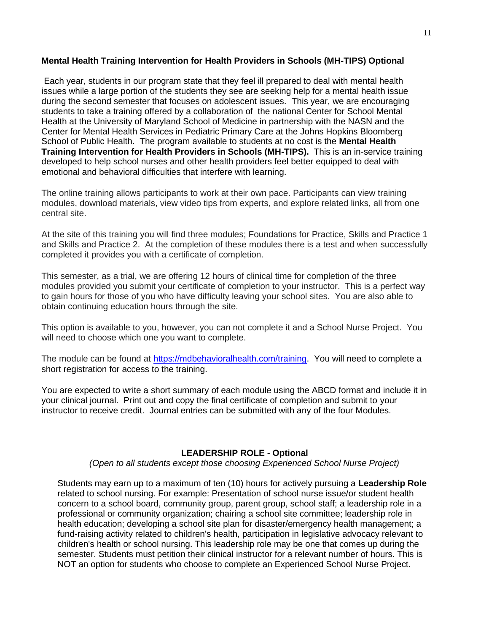#### **Mental Health Training Intervention for Health Providers in Schools (MH-TIPS) Optional**

Each year, students in our program state that they feel ill prepared to deal with mental health issues while a large portion of the students they see are seeking help for a mental health issue during the second semester that focuses on adolescent issues. This year, we are encouraging students to take a training offered by a collaboration of the national Center for School Mental Health at the University of Maryland School of Medicine in partnership with the NASN and the Center for Mental Health Services in Pediatric Primary Care at the Johns Hopkins Bloomberg School of Public Health. The program available to students at no cost is the **Mental Health Training Intervention for Health Providers in Schools (MH-TIPS).** This is an in-service training developed to help school nurses and other health providers feel better equipped to deal with emotional and behavioral difficulties that interfere with learning.

The online training allows participants to work at their own pace. Participants can view training modules, download materials, view video tips from experts, and explore related links, all from one central site.

At the site of this training you will find three modules; Foundations for Practice, Skills and Practice 1 and Skills and Practice 2. At the completion of these modules there is a test and when successfully completed it provides you with a certificate of completion.

This semester, as a trial, we are offering 12 hours of clinical time for completion of the three modules provided you submit your certificate of completion to your instructor. This is a perfect way to gain hours for those of you who have difficulty leaving your school sites. You are also able to obtain continuing education hours through the site.

This option is available to you, however, you can not complete it and a School Nurse Project. You will need to choose which one you want to complete.

The module can be found at [https://mdbehavioralhealth.com/training.](https://mdbehavioralhealth.com/training) You will need to complete a short registration for access to the training.

You are expected to write a short summary of each module using the ABCD format and include it in your clinical journal. Print out and copy the final certificate of completion and submit to your instructor to receive credit. Journal entries can be submitted with any of the four Modules.

#### **LEADERSHIP ROLE - Optional**

*(Open to all students except those choosing Experienced School Nurse Project)*

Students may earn up to a maximum of ten (10) hours for actively pursuing a **Leadership Role**  related to school nursing. For example: Presentation of school nurse issue/or student health concern to a school board, community group, parent group, school staff; a leadership role in a professional or community organization; chairing a school site committee; leadership role in health education; developing a school site plan for disaster/emergency health management; a fund-raising activity related to children's health, participation in legislative advocacy relevant to children's health or school nursing. This leadership role may be one that comes up during the semester. Students must petition their clinical instructor for a relevant number of hours. This is NOT an option for students who choose to complete an Experienced School Nurse Project.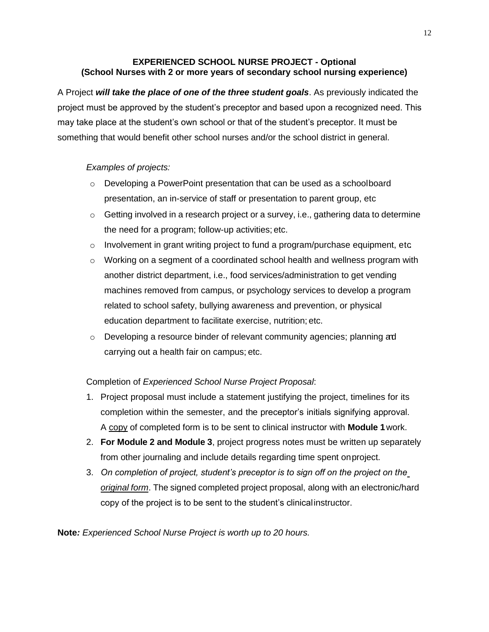# **EXPERIENCED SCHOOL NURSE PROJECT - Optional (School Nurses with 2 or more years of secondary school nursing experience)**

A Project *will take the place of one of the three student goals*. As previously indicated the project must be approved by the student's preceptor and based upon a recognized need. This may take place at the student's own school or that of the student's preceptor. It must be something that would benefit other school nurses and/or the school district in general.

# *Examples of projects:*

- o Developing a PowerPoint presentation that can be used as a schoolboard presentation, an in-service of staff or presentation to parent group, etc
- $\circ$  Getting involved in a research project or a survey, i.e., gathering data to determine the need for a program; follow-up activities; etc.
- $\circ$  Involvement in grant writing project to fund a program/purchase equipment, etc.
- $\circ$  Working on a segment of a coordinated school health and wellness program with another district department, i.e., food services/administration to get vending machines removed from campus, or psychology services to develop a program related to school safety, bullying awareness and prevention, or physical education department to facilitate exercise, nutrition; etc.
- $\circ$  Developing a resource binder of relevant community agencies; planning ad carrying out a health fair on campus; etc.

# Completion of *Experienced School Nurse Project Proposal*:

- 1. Project proposal must include a statement justifying the project, timelines for its completion within the semester, and the preceptor's initials signifying approval. A copy of completed form is to be sent to clinical instructor with **Module 1**work.
- 2. **For Module 2 and Module 3**, project progress notes must be written up separately from other journaling and include details regarding time spent onproject.
- 3. *On completion of project, student's preceptor is to sign off on the project on the original form*. The signed completed project proposal, along with an electronic/hard copy of the project is to be sent to the student's clinicalinstructor.

**Note***: Experienced School Nurse Project is worth up to 20 hours.*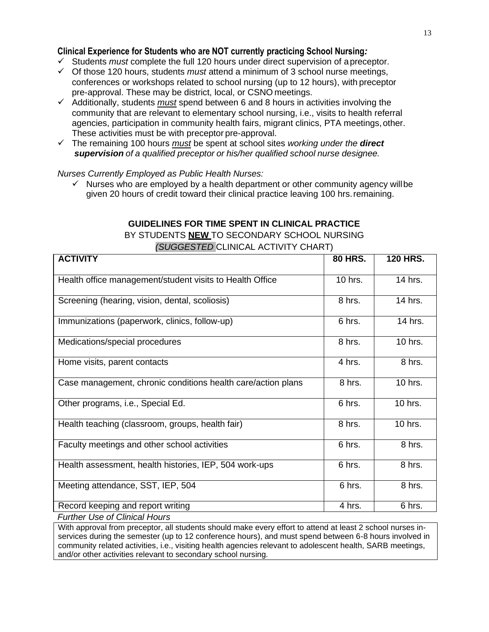#### **Clinical Experience for Students who are NOT currently practicing School Nursing***:*

- ✓ Students *must* complete the full 120 hours under direct supervision of apreceptor.
- ✓ Of those 120 hours, students *must* attend a minimum of 3 school nurse meetings, conferences or workshops related to school nursing (up to 12 hours), with preceptor pre-approval. These may be district, local, or CSNO meetings.
- ✓ Additionally, students *must* spend between 6 and 8 hours in activities involving the community that are relevant to elementary school nursing, i.e., visits to health referral agencies, participation in community health fairs, migrant clinics, PTA meetings, other. These activities must be with preceptor pre-approval.
- ✓ The remaining 100 hours *must* be spent at school sites *working under the direct supervision of a qualified preceptor or his/her qualified school nurse designee.*

*Nurses Currently Employed as Public Health Nurses:*

 $\checkmark$  Nurses who are employed by a health department or other community agency will be given 20 hours of credit toward their clinical practice leaving 100 hrs.remaining.

# **GUIDELINES FOR TIME SPENT IN CLINICAL PRACTICE**  BY STUDENTS **NEW** TO SECONDARY SCHOOL NURSING *(SUGGESTED* CLINICAL ACTIVITY CHART)

| <b>ACTIVITY</b>                                              | <b>80 HRS.</b> | <b>120 HRS.</b> |
|--------------------------------------------------------------|----------------|-----------------|
| Health office management/student visits to Health Office     | 10 hrs.        | 14 hrs.         |
| Screening (hearing, vision, dental, scoliosis)               | 8 hrs.         | 14 hrs.         |
| Immunizations (paperwork, clinics, follow-up)                | 6 hrs.         | 14 hrs.         |
| Medications/special procedures                               | 8 hrs.         | 10 hrs.         |
| Home visits, parent contacts                                 | 4 hrs.         | 8 hrs.          |
| Case management, chronic conditions health care/action plans | 8 hrs.         | 10 hrs.         |
| Other programs, i.e., Special Ed.                            | 6 hrs.         | 10 hrs.         |
| Health teaching (classroom, groups, health fair)             | 8 hrs.         | 10 hrs.         |
| Faculty meetings and other school activities                 | 6 hrs.         | 8 hrs.          |
| Health assessment, health histories, IEP, 504 work-ups       | 6 hrs.         | 8 hrs.          |
| Meeting attendance, SST, IEP, 504                            | 6 hrs.         | 8 hrs.          |
| Record keeping and report writing                            | 4 hrs.         | 6 hrs.          |

*Further Use of Clinical Hours*

With approval from preceptor, all students should make every effort to attend at least 2 school nurses inservices during the semester (up to 12 conference hours), and must spend between 6-8 hours involved in community related activities, i.e., visiting health agencies relevant to adolescent health, SARB meetings, and/or other activities relevant to secondary school nursing.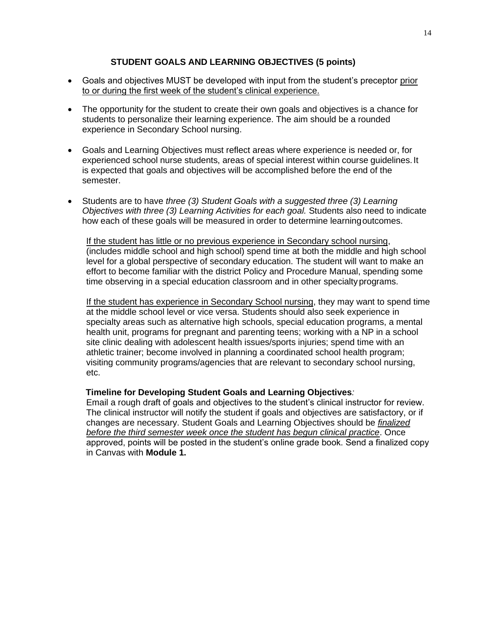# **STUDENT GOALS AND LEARNING OBJECTIVES (5 points)**

- Goals and objectives MUST be developed with input from the student's preceptor prior to or during the first week of the student's clinical experience.
- The opportunity for the student to create their own goals and objectives is a chance for students to personalize their learning experience. The aim should be a rounded experience in Secondary School nursing.
- Goals and Learning Objectives must reflect areas where experience is needed or, for experienced school nurse students, areas of special interest within course guidelines.It is expected that goals and objectives will be accomplished before the end of the semester.
- Students are to have *three (3) Student Goals with a suggested three (3) Learning Objectives with three (3) Learning Activities for each goal.* Students also need to indicate how each of these goals will be measured in order to determine learningoutcomes.

If the student has little or no previous experience in Secondary school nursing, (includes middle school and high school) spend time at both the middle and high school level for a global perspective of secondary education. The student will want to make an effort to become familiar with the district Policy and Procedure Manual, spending some time observing in a special education classroom and in other specialtyprograms.

If the student has experience in Secondary School nursing, they may want to spend time at the middle school level or vice versa. Students should also seek experience in specialty areas such as alternative high schools, special education programs, a mental health unit, programs for pregnant and parenting teens; working with a NP in a school site clinic dealing with adolescent health issues/sports injuries; spend time with an athletic trainer; become involved in planning a coordinated school health program; visiting community programs/agencies that are relevant to secondary school nursing, etc.

#### **Timeline for Developing Student Goals and Learning Objectives***:*

Email a rough draft of goals and objectives to the student's clinical instructor for review. The clinical instructor will notify the student if goals and objectives are satisfactory, or if changes are necessary. Student Goals and Learning Objectives should be *finalized before the third semester week once the student has begun clinical practice*. Once approved, points will be posted in the student's online grade book. Send a finalized copy in Canvas with **Module 1.**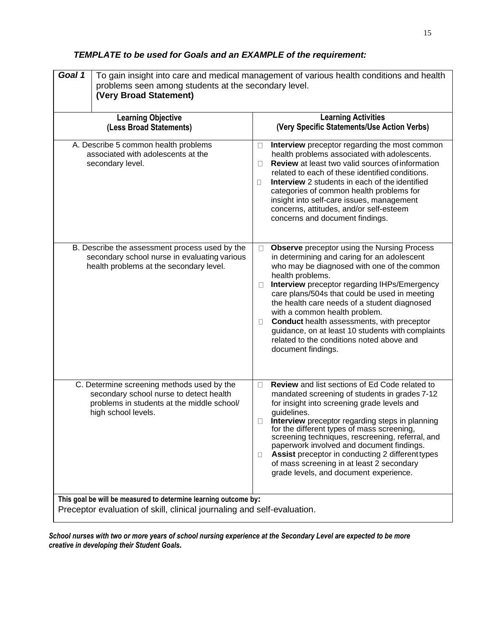# *TEMPLATE to be used for Goals and an EXAMPLE of the requirement:*

| Goal 1<br>To gain insight into care and medical management of various health conditions and health<br>problems seen among students at the secondary level.<br>(Very Broad Statement) |                                                                                                                                                            |                                                                                                                                                                                                                                                                                                                                                                                                                                                                                                                                                              |  |
|--------------------------------------------------------------------------------------------------------------------------------------------------------------------------------------|------------------------------------------------------------------------------------------------------------------------------------------------------------|--------------------------------------------------------------------------------------------------------------------------------------------------------------------------------------------------------------------------------------------------------------------------------------------------------------------------------------------------------------------------------------------------------------------------------------------------------------------------------------------------------------------------------------------------------------|--|
| <b>Learning Objective</b><br>(Less Broad Statements)                                                                                                                                 |                                                                                                                                                            | <b>Learning Activities</b><br>(Very Specific Statements/Use Action Verbs)                                                                                                                                                                                                                                                                                                                                                                                                                                                                                    |  |
| A. Describe 5 common health problems<br>associated with adolescents at the<br>secondary level.                                                                                       |                                                                                                                                                            | Interview preceptor regarding the most common<br>Ц<br>health problems associated with adolescents.<br>Review at least two valid sources of information<br>П<br>related to each of these identified conditions.<br><b>Interview</b> 2 students in each of the identified<br>П<br>categories of common health problems for<br>insight into self-care issues, management<br>concerns, attitudes, and/or self-esteem<br>concerns and document findings.                                                                                                          |  |
|                                                                                                                                                                                      | B. Describe the assessment process used by the<br>secondary school nurse in evaluating various<br>health problems at the secondary level.                  | <b>Observe</b> preceptor using the Nursing Process<br>0<br>in determining and caring for an adolescent<br>who may be diagnosed with one of the common<br>health problems.<br>Interview preceptor regarding IHPs/Emergency<br>$\Box$<br>care plans/504s that could be used in meeting<br>the health care needs of a student diagnosed<br>with a common health problem.<br><b>Conduct</b> health assessments, with preceptor<br>$\Box$<br>guidance, on at least 10 students with complaints<br>related to the conditions noted above and<br>document findings. |  |
|                                                                                                                                                                                      | C. Determine screening methods used by the<br>secondary school nurse to detect health<br>problems in students at the middle school/<br>high school levels. | Review and list sections of Ed Code related to<br>□<br>mandated screening of students in grades 7-12<br>for insight into screening grade levels and<br>guidelines.<br>Interview preceptor regarding steps in planning<br>$\Box$<br>for the different types of mass screening,<br>screening techniques, rescreening, referral, and<br>paperwork involved and document findings.<br><b>Assist</b> preceptor in conducting 2 different types<br>$\Box$<br>of mass screening in at least 2 secondary<br>grade levels, and document experience.                   |  |
| This goal be will be measured to determine learning outcome by:<br>Preceptor evaluation of skill, clinical journaling and self-evaluation.                                           |                                                                                                                                                            |                                                                                                                                                                                                                                                                                                                                                                                                                                                                                                                                                              |  |

*School nurses with two or more years of school nursing experience at the Secondary Level are expected to be more creative in developing their Student Goals.*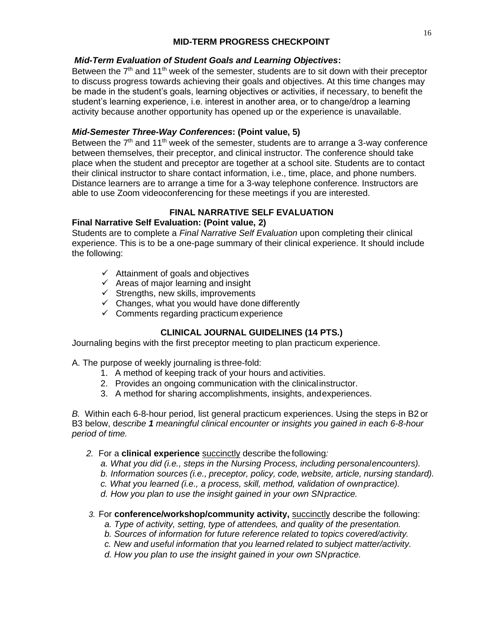# **MID-TERM PROGRESS CHECKPOINT**

# *Mid-Term Evaluation of Student Goals and Learning Objectives***:**

Between the  $7<sup>th</sup>$  and 11<sup>th</sup> week of the semester, students are to sit down with their preceptor to discuss progress towards achieving their goals and objectives. At this time changes may be made in the student's goals, learning objectives or activities, if necessary, to benefit the student's learning experience, i.e. interest in another area, or to change/drop a learning activity because another opportunity has opened up or the experience is unavailable.

# *Mid-Semester Three-Way Conferences***: (Point value, 5)**

Between the  $7<sup>th</sup>$  and 11<sup>th</sup> week of the semester, students are to arrange a 3-way conference between themselves, their preceptor, and clinical instructor. The conference should take place when the student and preceptor are together at a school site. Students are to contact their clinical instructor to share contact information, i.e., time, place, and phone numbers. Distance learners are to arrange a time for a 3-way telephone conference. Instructors are able to use Zoom videoconferencing for these meetings if you are interested.

# **FINAL NARRATIVE SELF EVALUATION**

# **Final Narrative Self Evaluation: (Point value, 2)**

Students are to complete a *Final Narrative Self Evaluation* upon completing their clinical experience. This is to be a one-page summary of their clinical experience. It should include the following:

- $\checkmark$  Attainment of goals and objectives
- $\checkmark$  Areas of major learning and insight
- $\checkmark$  Strengths, new skills, improvements
- $\checkmark$  Changes, what you would have done differently
- $\checkmark$  Comments regarding practicum experience

# **CLINICAL JOURNAL GUIDELINES (14 PTS.)**

Journaling begins with the first preceptor meeting to plan practicum experience.

A. The purpose of weekly journaling is three-fold:

- 1. A method of keeping track of your hours and activities.
- 2. Provides an ongoing communication with the clinicalinstructor.
- 3. A method for sharing accomplishments, insights, andexperiences.

*B.* Within each 6-8-hour period, list general practicum experiences. Using the steps in B2 or B3 below, d*escribe 1 meaningful clinical encounter or insights you gained in each 6-8-hour period of time.*

# *2.* For a **clinical experience** succinctly describe thefollowing*:*

- *a. What you did (i.e., steps in the Nursing Process, including personalencounters).*
- *b. Information sources (i.e., preceptor, policy, code, website, article, nursing standard).*
- *c. What you learned (i.e., a process, skill, method, validation of ownpractice).*
- *d. How you plan to use the insight gained in your own SNpractice.*

*3.* For **conference/workshop/community activity,** succinctly describe the following:

- *a. Type of activity, setting, type of attendees, and quality of the presentation.*
- *b. Sources of information for future reference related to topics covered/activity.*
- *c. New and useful information that you learned related to subject matter/activity.*
- *d. How you plan to use the insight gained in your own SNpractice.*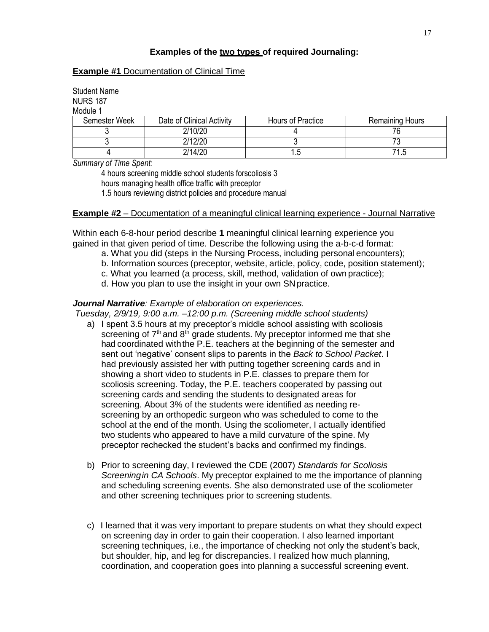# **Examples of the two types of required Journaling:**

#### **Example #1** Documentation of Clinical Time

Student Name NURS 187 Module 1

| Semester Week | Date of Clinical Activity | Hours of Practice | <b>Remaining Hours</b> |  |
|---------------|---------------------------|-------------------|------------------------|--|
|               | 2/10/20                   |                   |                        |  |
|               | 2/12/20                   |                   |                        |  |
|               | 2/14/20                   | ں ا               | ۱.۰                    |  |

*Summary of Time Spent:*

4 hours screening middle school students forscoliosis 3 hours managing health office traffic with preceptor 1.5 hours reviewing district policies and procedure manual

#### **Example #2** – Documentation of a meaningful clinical learning experience - Journal Narrative

Within each 6-8-hour period describe **1** meaningful clinical learning experience you gained in that given period of time. Describe the following using the a-b-c-d format:

- a. What you did (steps in the Nursing Process, including personal encounters);
- b. Information sources (preceptor, website, article, policy, code, position statement);
- c. What you learned (a process, skill, method, validation of own practice);
- d. How you plan to use the insight in your own SNpractice.

#### *Journal Narrative: Example of elaboration on experiences.*

*Tuesday, 2/9/19, 9:00 a.m. –12:00 p.m. (Screening middle school students)*

- a) I spent 3.5 hours at my preceptor's middle school assisting with scoliosis screening of  $7<sup>th</sup>$  and  $8<sup>th</sup>$  grade students. My preceptor informed me that she had coordinated withthe P.E. teachers at the beginning of the semester and sent out 'negative' consent slips to parents in the *Back to School Packet*. I had previously assisted her with putting together screening cards and in showing a short video to students in P.E. classes to prepare them for scoliosis screening. Today, the P.E. teachers cooperated by passing out screening cards and sending the students to designated areas for screening. About 3% of the students were identified as needing rescreening by an orthopedic surgeon who was scheduled to come to the school at the end of the month. Using the scoliometer, I actually identified two students who appeared to have a mild curvature of the spine. My preceptor rechecked the student's backs and confirmed my findings.
- b) Prior to screening day, I reviewed the CDE (2007) *Standards for Scoliosis Screeningin CA Schools*. My preceptor explained to me the importance of planning and scheduling screening events. She also demonstrated use of the scoliometer and other screening techniques prior to screening students.
- c) I learned that it was very important to prepare students on what they should expect on screening day in order to gain their cooperation. I also learned important screening techniques, i.e., the importance of checking not only the student's back, but shoulder, hip, and leg for discrepancies. I realized how much planning, coordination, and cooperation goes into planning a successful screening event.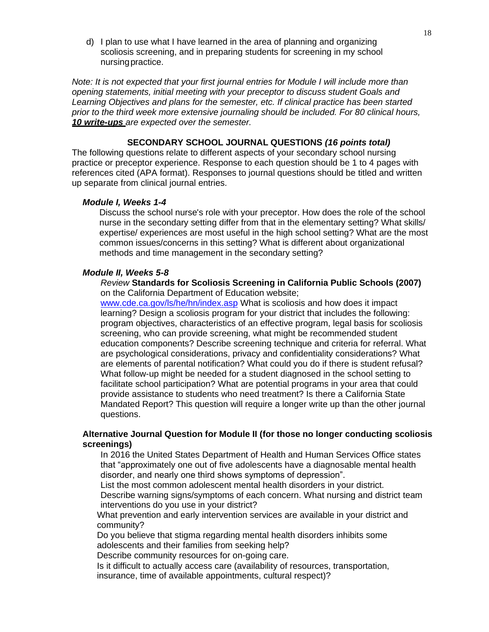d) I plan to use what I have learned in the area of planning and organizing scoliosis screening, and in preparing students for screening in my school nursingpractice.

*Note: It is not expected that your first journal entries for Module I will include more than opening statements, initial meeting with your preceptor to discuss student Goals and Learning Objectives and plans for the semester, etc. If clinical practice has been started prior to the third week more extensive journaling should be included. For 80 clinical hours, 10 write-ups are expected over the semester.*

#### **SECONDARY SCHOOL JOURNAL QUESTIONS** *(16 points total)*

The following questions relate to different aspects of your secondary school nursing practice or preceptor experience. Response to each question should be 1 to 4 pages with references cited (APA format). Responses to journal questions should be titled and written up separate from clinical journal entries.

#### *Module I, Weeks 1-4*

Discuss the school nurse's role with your preceptor. How does the role of the school nurse in the secondary setting differ from that in the elementary setting? What skills/ expertise/ experiences are most useful in the high school setting? What are the most common issues/concerns in this setting? What is different about organizational methods and time management in the secondary setting?

#### *Module II, Weeks 5-8*

*Review* **Standards for Scoliosis Screening in California Public Schools (2007)**  on the California Department of Education website;

[www.cde.ca.gov/ls/he/hn/index.asp](http://www.cde.ca.gov/ls/he/hn/index.asp) What is scoliosis and how does it impact learning? Design a scoliosis program for your district that includes the following: program objectives, characteristics of an effective program, legal basis for scoliosis screening, who can provide screening, what might be recommended student education components? Describe screening technique and criteria for referral. What are psychological considerations, privacy and confidentiality considerations? What are elements of parental notification? What could you do if there is student refusal? What follow-up might be needed for a student diagnosed in the school setting to facilitate school participation? What are potential programs in your area that could provide assistance to students who need treatment? Is there a California State Mandated Report? This question will require a longer write up than the other journal questions.

#### **Alternative Journal Question for Module II (for those no longer conducting scoliosis screenings)**

In 2016 the United States Department of Health and Human Services Office states that "approximately one out of five adolescents have a diagnosable mental health disorder, and nearly one third shows symptoms of depression".

List the most common adolescent mental health disorders in your district. Describe warning signs/symptoms of each concern. What nursing and district team interventions do you use in your district?

What prevention and early intervention services are available in your district and community?

Do you believe that stigma regarding mental health disorders inhibits some adolescents and their families from seeking help?

Describe community resources for on-going care.

Is it difficult to actually access care (availability of resources, transportation, insurance, time of available appointments, cultural respect)?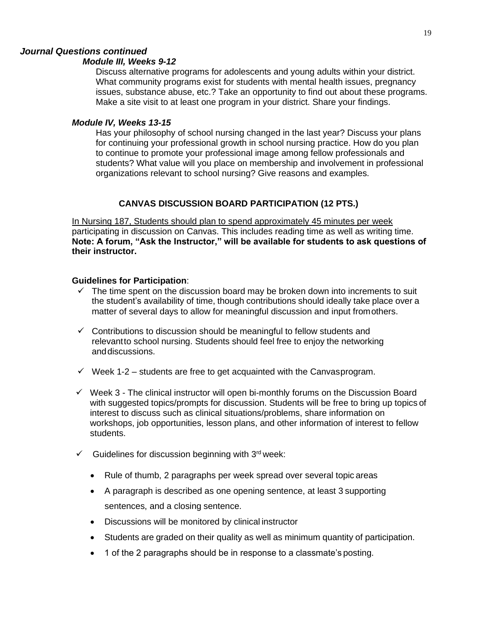# *Journal Questions continued*

#### *Module III, Weeks 9-12*

Discuss alternative programs for adolescents and young adults within your district. What community programs exist for students with mental health issues, pregnancy issues, substance abuse, etc.? Take an opportunity to find out about these programs. Make a site visit to at least one program in your district. Share your findings.

#### *Module IV, Weeks 13-15*

Has your philosophy of school nursing changed in the last year? Discuss your plans for continuing your professional growth in school nursing practice. How do you plan to continue to promote your professional image among fellow professionals and students? What value will you place on membership and involvement in professional organizations relevant to school nursing? Give reasons and examples.

# **CANVAS DISCUSSION BOARD PARTICIPATION (12 PTS.)**

In Nursing 187, Students should plan to spend approximately 45 minutes per week participating in discussion on Canvas. This includes reading time as well as writing time. **Note: A forum, "Ask the Instructor," will be available for students to ask questions of their instructor.**

#### **Guidelines for Participation**:

- $\checkmark$  The time spent on the discussion board may be broken down into increments to suit the student's availability of time, though contributions should ideally take place over a matter of several days to allow for meaningful discussion and input fromothers.
- $\checkmark$  Contributions to discussion should be meaningful to fellow students and relevantto school nursing. Students should feel free to enjoy the networking anddiscussions.
- $\checkmark$  Week 1-2 students are free to get acquainted with the Canvasprogram.
- $\checkmark$  Week 3 The clinical instructor will open bi-monthly forums on the Discussion Board with suggested topics/prompts for discussion. Students will be free to bring up topics of interest to discuss such as clinical situations/problems, share information on workshops, job opportunities, lesson plans, and other information of interest to fellow students.
- $\checkmark$  Guidelines for discussion beginning with 3<sup>rd</sup> week:
	- Rule of thumb, 2 paragraphs per week spread over several topic areas
	- A paragraph is described as one opening sentence, at least 3 supporting sentences, and a closing sentence.
	- Discussions will be monitored by clinical instructor
	- Students are graded on their quality as well as minimum quantity of participation.
	- 1 of the 2 paragraphs should be in response to a classmate's posting.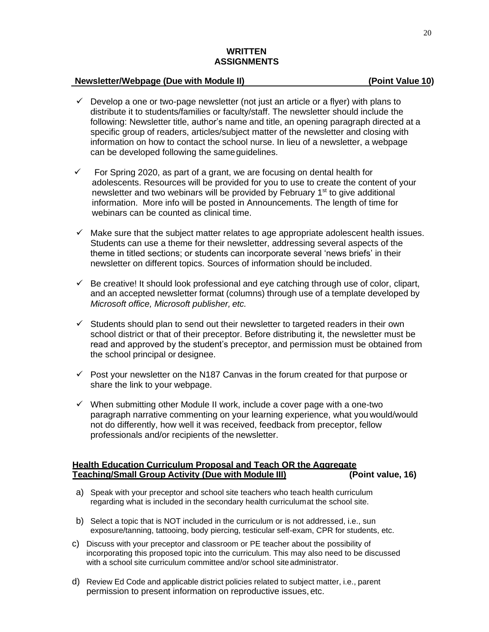#### **WRITTEN ASSIGNMENTS**

#### **Newsletter/Webpage (Due with Module II) (Point Value 10)**

- $\checkmark$  Develop a one or two-page newsletter (not just an article or a flyer) with plans to distribute it to students/families or faculty/staff. The newsletter should include the following: Newsletter title, author's name and title, an opening paragraph directed at a specific group of readers, articles/subject matter of the newsletter and closing with information on how to contact the school nurse. In lieu of a newsletter, a webpage can be developed following the sameguidelines.
- $\checkmark$  For Spring 2020, as part of a grant, we are focusing on dental health for adolescents. Resources will be provided for you to use to create the content of your newsletter and two webinars will be provided by February 1<sup>st</sup> to give additional information. More info will be posted in Announcements. The length of time for webinars can be counted as clinical time.
- $\checkmark$  Make sure that the subject matter relates to age appropriate adolescent health issues. Students can use a theme for their newsletter, addressing several aspects of the theme in titled sections; or students can incorporate several 'news briefs' in their newsletter on different topics. Sources of information should be included.
- $\checkmark$  Be creative! It should look professional and eye catching through use of color, clipart, and an accepted newsletter format (columns) through use of a template developed by *Microsoft office, Microsoft publisher, etc.*
- $\checkmark$  Students should plan to send out their newsletter to targeted readers in their own school district or that of their preceptor. Before distributing it, the newsletter must be read and approved by the student's preceptor, and permission must be obtained from the school principal or designee.
- $\checkmark$  Post your newsletter on the N187 Canvas in the forum created for that purpose or share the link to your webpage.
- $\checkmark$  When submitting other Module II work, include a cover page with a one-two paragraph narrative commenting on your learning experience, what you would/would not do differently, how well it was received, feedback from preceptor, fellow professionals and/or recipients of the newsletter.

#### **Health Education Curriculum Proposal and Teach OR the Aggregate Teaching/Small Group Activity (Due with Module III) (Point value, 16)**

- a) Speak with your preceptor and school site teachers who teach health curriculum regarding what is included in the secondary health curriculumat the school site.
- b) Select a topic that is NOT included in the curriculum or is not addressed, i.e., sun exposure/tanning, tattooing, body piercing, testicular self-exam, CPR for students, etc.
- c) Discuss with your preceptor and classroom or PE teacher about the possibility of incorporating this proposed topic into the curriculum. This may also need to be discussed with a school site curriculum committee and/or school site administrator.
- d) Review Ed Code and applicable district policies related to subject matter, i.e., parent permission to present information on reproductive issues, etc.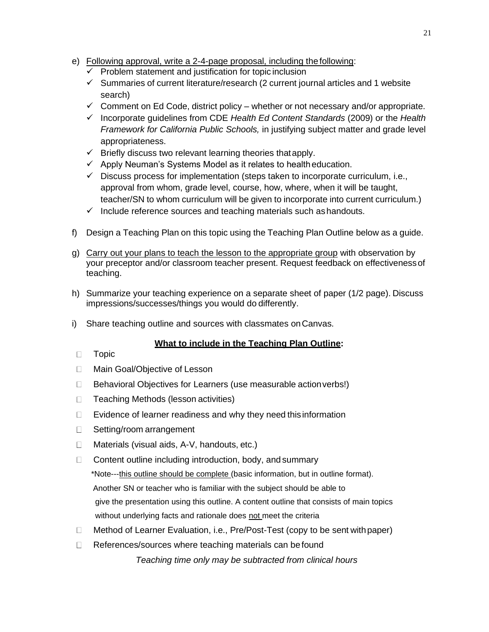- e) Following approval, write a 2-4-page proposal, including the following:
	- ✓ Problem statement and justification for topic inclusion
	- $\checkmark$  Summaries of current literature/research (2 current journal articles and 1 website search)
	- $\checkmark$  Comment on Ed Code, district policy whether or not necessary and/or appropriate.
	- ✓ Incorporate guidelines from CDE *Health Ed Content Standards* (2009) or the *Health Framework for California Public Schools,* in justifying subject matter and grade level appropriateness.
	- $\checkmark$  Briefly discuss two relevant learning theories that apply.
	- $\checkmark$  Apply Neuman's Systems Model as it relates to healtheducation.
	- $\checkmark$  Discuss process for implementation (steps taken to incorporate curriculum, i.e., approval from whom, grade level, course, how, where, when it will be taught, teacher/SN to whom curriculum will be given to incorporate into current curriculum.)
	- $\checkmark$  Include reference sources and teaching materials such as handouts.
- f) Design a Teaching Plan on this topic using the Teaching Plan Outline below as a guide.
- g) Carry out your plans to teach the lesson to the appropriate group with observation by your preceptor and/or classroom teacher present. Request feedback on effectivenessof teaching.
- h) Summarize your teaching experience on a separate sheet of paper (1/2 page). Discuss impressions/successes/things you would do differently.
- i) Share teaching outline and sources with classmates onCanvas.

# **What to include in the Teaching Plan Outline:**

- $\Box$ Topic
- $\Box$ Main Goal/Objective of Lesson
- Behavioral Objectives for Learners (use measurable action verbs!)  $\Box$
- $\Box$ Teaching Methods (lesson activities)
- $\Box$ Evidence of learner readiness and why they need thisinformation
- $\Box$ Setting/room arrangement
- Materials (visual aids, A-V, handouts, etc.)  $\Box$
- $\Box$ Content outline including introduction, body, and summary \*Note---this outline should be complete (basic information, but in outline format). Another SN or teacher who is familiar with the subject should be able to give the presentation using this outline. A content outline that consists of main topics without underlying facts and rationale does not meet the criteria
- $\Box$ Method of Learner Evaluation, i.e., Pre/Post-Test (copy to be sent withpaper)
- $\Box$ References/sources where teaching materials can be found

*Teaching time only may be subtracted from clinical hours*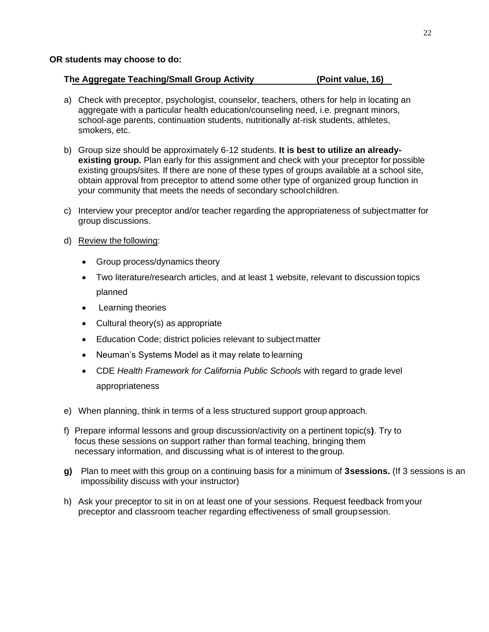# **The Aggregate Teaching/Small Group Activity (Point value, 16)**

- a) Check with preceptor, psychologist, counselor, teachers, others for help in locating an aggregate with a particular health education/counseling need, i.e. pregnant minors, school-age parents, continuation students, nutritionally at-risk students, athletes, smokers, etc.
- b) Group size should be approximately 6-12 students. **It is best to utilize an alreadyexisting group.** Plan early for this assignment and check with your preceptor for possible existing groups/sites. If there are none of these types of groups available at a school site, obtain approval from preceptor to attend some other type of organized group function in your community that meets the needs of secondary schoolchildren.
- c) Interview your preceptor and/or teacher regarding the appropriateness of subjectmatter for group discussions.
- d) Review the following:
	- Group process/dynamics theory
	- Two literature/research articles, and at least 1 website, relevant to discussion topics planned
	- Learning theories
	- Cultural theory(s) as appropriate
	- Education Code; district policies relevant to subject matter
	- Neuman's Systems Model as it may relate to learning
	- CDE *Health Framework for California Public Schools* with regard to grade level appropriateness
- e) When planning, think in terms of a less structured support group approach.
- f) Prepare informal lessons and group discussion/activity on a pertinent topic(s**)**. Try to focus these sessions on support rather than formal teaching, bringing them necessary information, and discussing what is of interest to the group.
- **g)** Plan to meet with this group on a continuing basis for a minimum of **3sessions.** (If 3 sessions is an impossibility discuss with your instructor)
- h) Ask your preceptor to sit in on at least one of your sessions. Request feedback from your preceptor and classroom teacher regarding effectiveness of small groupsession.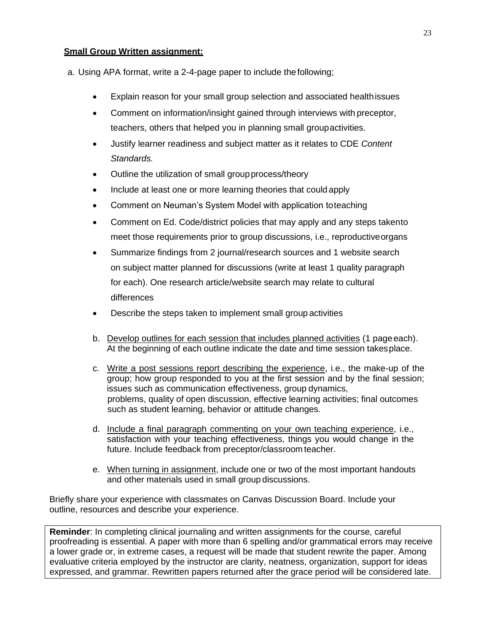#### **Small Group Written assignment:**

a. Using APA format, write a 2-4-page paper to include thefollowing;

- Explain reason for your small group selection and associated healthissues
- Comment on information/insight gained through interviews with preceptor, teachers, others that helped you in planning small groupactivities.
- Justify learner readiness and subject matter as it relates to CDE *Content Standards.*
- Outline the utilization of small groupprocess/theory
- Include at least one or more learning theories that could apply
- Comment on Neuman's System Model with application toteaching
- Comment on Ed. Code/district policies that may apply and any steps takento meet those requirements prior to group discussions, i.e., reproductiveorgans
- Summarize findings from 2 journal/research sources and 1 website search on subject matter planned for discussions (write at least 1 quality paragraph for each). One research article/website search may relate to cultural differences
- Describe the steps taken to implement small group activities
- b. Develop outlines for each session that includes planned activities (1 page each). At the beginning of each outline indicate the date and time session takesplace.
- c. Write a post sessions report describing the experience, i.e., the make-up of the group; how group responded to you at the first session and by the final session; issues such as communication effectiveness, group dynamics, problems, quality of open discussion, effective learning activities; final outcomes such as student learning, behavior or attitude changes.
- d. Include a final paragraph commenting on your own teaching experience, i.e., satisfaction with your teaching effectiveness, things you would change in the future. Include feedback from preceptor/classroom teacher.
- e. When turning in assignment, include one or two of the most important handouts and other materials used in small group discussions.

Briefly share your experience with classmates on Canvas Discussion Board. Include your outline, resources and describe your experience.

**Reminder**: In completing clinical journaling and written assignments for the course, careful proofreading is essential. A paper with more than 6 spelling and/or grammatical errors may receive a lower grade or, in extreme cases, a request will be made that student rewrite the paper. Among evaluative criteria employed by the instructor are clarity, neatness, organization, support for ideas expressed, and grammar. Rewritten papers returned after the grace period will be considered late.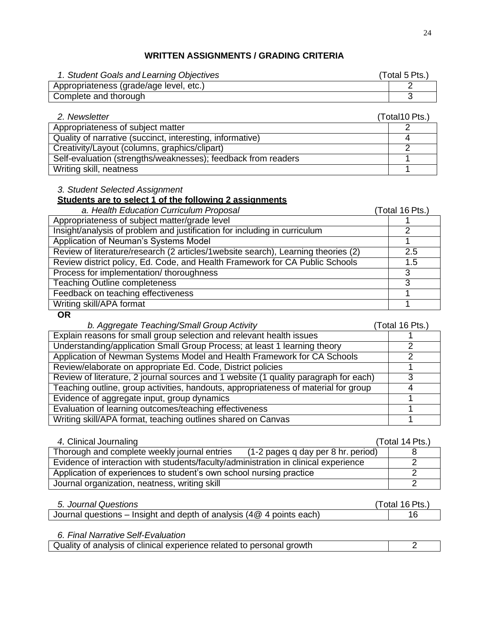# **WRITTEN ASSIGNMENTS / GRADING CRITERIA**

| 1. Student Goals and Learning Objectives | (Total 5 Pts.) |
|------------------------------------------|----------------|
| Appropriateness (grade/age level, etc.)  |                |
| Complete and thorough                    |                |

| 2. Newsletter                                                 | (Total 10 Pts.) |
|---------------------------------------------------------------|-----------------|
| Appropriateness of subject matter                             |                 |
| Quality of narrative (succinct, interesting, informative)     |                 |
| Creativity/Layout (columns, graphics/clipart)                 |                 |
| Self-evaluation (strengths/weaknesses); feedback from readers |                 |
| Writing skill, neatness                                       |                 |

# *3. Student Selected Assignment*

# **Students are to select 1 of the following 2 assignments**

| a. Health Education Curriculum Proposal                                            | (Total 16 Pts.) |
|------------------------------------------------------------------------------------|-----------------|
| Appropriateness of subject matter/grade level                                      |                 |
| Insight/analysis of problem and justification for including in curriculum          |                 |
| Application of Neuman's Systems Model                                              |                 |
| Review of literature/research (2 articles/1 website search), Learning theories (2) | 2.5             |
| Review district policy, Ed. Code, and Health Framework for CA Public Schools       | 1.5             |
| Process for implementation/ thoroughness                                           | 3               |
| <b>Teaching Outline completeness</b>                                               | 3               |
| Feedback on teaching effectiveness                                                 |                 |
| Writing skill/APA format                                                           |                 |

#### **OR**

# *b. Aggregate Teaching/Small Group Activity* (Total 16 Pts.)

| Explain reasons for small group selection and relevant health issues                 |  |
|--------------------------------------------------------------------------------------|--|
| Understanding/application Small Group Process; at least 1 learning theory            |  |
| Application of Newman Systems Model and Health Framework for CA Schools              |  |
| Review/elaborate on appropriate Ed. Code, District policies                          |  |
| Review of literature, 2 journal sources and 1 website (1 quality paragraph for each) |  |
| Teaching outline, group activities, handouts, appropriateness of material for group  |  |
| Evidence of aggregate input, group dynamics                                          |  |
| Evaluation of learning outcomes/teaching effectiveness                               |  |
| Writing skill/APA format, teaching outlines shared on Canvas                         |  |

| 4. Clinical Journaling                                                              | (Total 14 Pts.) |
|-------------------------------------------------------------------------------------|-----------------|
| (1-2 pages q day per 8 hr. period)<br>Thorough and complete weekly journal entries  |                 |
| Evidence of interaction with students/faculty/administration in clinical experience |                 |
| Application of experiences to student's own school nursing practice                 |                 |
| Journal organization, neatness, writing skill                                       |                 |

| 5. Journal Questions                                                      | (Total 16 Pts.) |
|---------------------------------------------------------------------------|-----------------|
| I Journal questions – Insight and depth of analysis (4 $@$ 4 points each) |                 |

*6. Final Narrative Self-Evaluation*

| Quality of analysis of clinical experience related to personal growth |  |
|-----------------------------------------------------------------------|--|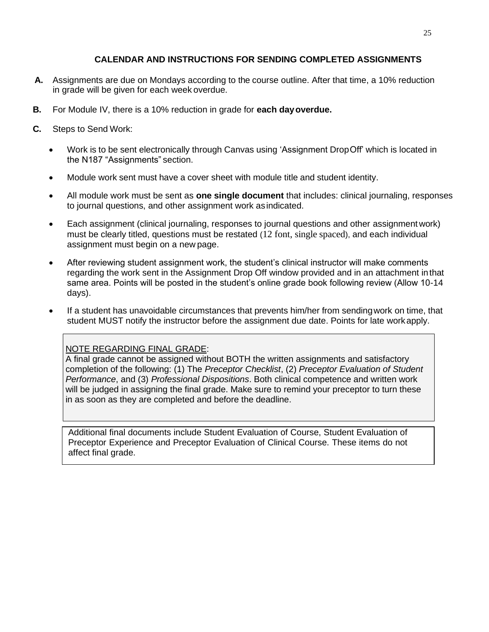# **CALENDAR AND INSTRUCTIONS FOR SENDING COMPLETED ASSIGNMENTS**

- **A.** Assignments are due on Mondays according to the course outline. After that time, a 10% reduction in grade will be given for each week overdue.
- **B.** For Module IV, there is a 10% reduction in grade for **each dayoverdue.**
- **C.** Steps to Send Work:
	- Work is to be sent electronically through Canvas using 'Assignment DropOff' which is located in the N187 "Assignments" section.
	- Module work sent must have a cover sheet with module title and student identity.
	- All module work must be sent as **one single document** that includes: clinical journaling, responses to journal questions, and other assignment work asindicated.
	- Each assignment (clinical journaling, responses to journal questions and other assignment work) must be clearly titled, questions must be restated (12 font, single spaced), and each individual assignment must begin on a new page.
	- After reviewing student assignment work, the student's clinical instructor will make comments regarding the work sent in the Assignment Drop Off window provided and in an attachment inthat same area. Points will be posted in the student's online grade book following review (Allow 10-14 days).
	- If a student has unavoidable circumstances that prevents him/her from sendingwork on time, that student MUST notify the instructor before the assignment due date. Points for late workapply.

# NOTE REGARDING FINAL GRADE:

A final grade cannot be assigned without BOTH the written assignments and satisfactory completion of the following: (1) The *Preceptor Checklist*, (2) *Preceptor Evaluation of Student Performance*, and (3) *Professional Dispositions*. Both clinical competence and written work will be judged in assigning the final grade. Make sure to remind your preceptor to turn these in as soon as they are completed and before the deadline.

Additional final documents include Student Evaluation of Course, Student Evaluation of Preceptor Experience and Preceptor Evaluation of Clinical Course. These items do not affect final grade.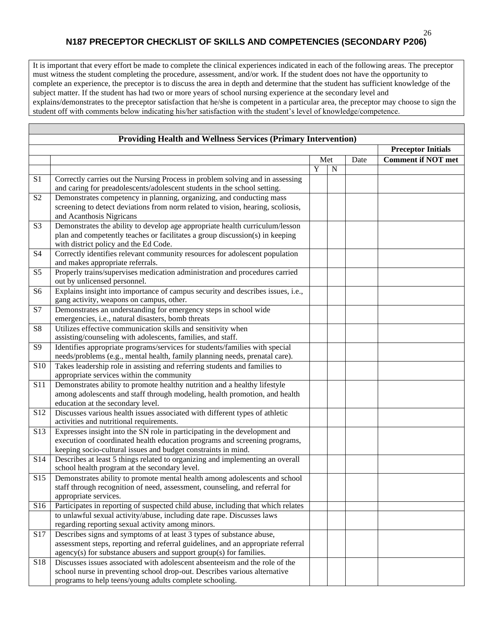# **N187 PRECEPTOR CHECKLIST OF SKILLS AND COMPETENCIES (SECONDARY P206)**

It is important that every effort be made to complete the clinical experiences indicated in each of the following areas. The preceptor must witness the student completing the procedure, assessment, and/or work. If the student does not have the opportunity to complete an experience, the preceptor is to discuss the area in depth and determine that the student has sufficient knowledge of the subject matter. If the student has had two or more years of school nursing experience at the secondary level and explains/demonstrates to the preceptor satisfaction that he/she is competent in a particular area, the preceptor may choose to sign the student off with comments below indicating his/her satisfaction with the student's level of knowledge/competence.

| <b>Providing Health and Wellness Services (Primary Intervention)</b> |                                                                                                                                                                                                                                |             |                           |  |                           |
|----------------------------------------------------------------------|--------------------------------------------------------------------------------------------------------------------------------------------------------------------------------------------------------------------------------|-------------|---------------------------|--|---------------------------|
|                                                                      |                                                                                                                                                                                                                                |             | <b>Preceptor Initials</b> |  |                           |
|                                                                      |                                                                                                                                                                                                                                | Met<br>Date |                           |  | <b>Comment if NOT met</b> |
|                                                                      |                                                                                                                                                                                                                                | Y           | N                         |  |                           |
| S <sub>1</sub>                                                       | Correctly carries out the Nursing Process in problem solving and in assessing<br>and caring for preadolescents/adolescent students in the school setting.                                                                      |             |                           |  |                           |
| S <sub>2</sub>                                                       | Demonstrates competency in planning, organizing, and conducting mass<br>screening to detect deviations from norm related to vision, hearing, scoliosis,<br>and Acanthosis Nigricans                                            |             |                           |  |                           |
| S <sub>3</sub>                                                       | Demonstrates the ability to develop age appropriate health curriculum/lesson<br>plan and competently teaches or facilitates a group discussion(s) in keeping<br>with district policy and the Ed Code.                          |             |                           |  |                           |
| S <sub>4</sub>                                                       | Correctly identifies relevant community resources for adolescent population<br>and makes appropriate referrals.                                                                                                                |             |                           |  |                           |
| S <sub>5</sub>                                                       | Properly trains/supervises medication administration and procedures carried<br>out by unlicensed personnel.                                                                                                                    |             |                           |  |                           |
| S <sub>6</sub>                                                       | Explains insight into importance of campus security and describes issues, i.e.,<br>gang activity, weapons on campus, other.                                                                                                    |             |                           |  |                           |
| S7                                                                   | Demonstrates an understanding for emergency steps in school wide<br>emergencies, i.e., natural disasters, bomb threats                                                                                                         |             |                           |  |                           |
| S8                                                                   | Utilizes effective communication skills and sensitivity when<br>assisting/counseling with adolescents, families, and staff.                                                                                                    |             |                           |  |                           |
| S9                                                                   | Identifies appropriate programs/services for students/families with special<br>needs/problems (e.g., mental health, family planning needs, prenatal care).                                                                     |             |                           |  |                           |
| S10                                                                  | Takes leadership role in assisting and referring students and families to<br>appropriate services within the community                                                                                                         |             |                           |  |                           |
| S11                                                                  | Demonstrates ability to promote healthy nutrition and a healthy lifestyle<br>among adolescents and staff through modeling, health promotion, and health<br>education at the secondary level.                                   |             |                           |  |                           |
| S12                                                                  | Discusses various health issues associated with different types of athletic<br>activities and nutritional requirements.                                                                                                        |             |                           |  |                           |
| S13                                                                  | Expresses insight into the SN role in participating in the development and<br>execution of coordinated health education programs and screening programs,<br>keeping socio-cultural issues and budget constraints in mind.      |             |                           |  |                           |
| S14                                                                  | Describes at least 5 things related to organizing and implementing an overall<br>school health program at the secondary level.                                                                                                 |             |                           |  |                           |
| S <sub>15</sub>                                                      | Demonstrates ability to promote mental health among adolescents and school<br>staff through recognition of need, assessment, counseling, and referral for<br>appropriate services.                                             |             |                           |  |                           |
| S16                                                                  | Participates in reporting of suspected child abuse, including that which relates                                                                                                                                               |             |                           |  |                           |
|                                                                      | to unlawful sexual activity/abuse, including date rape. Discusses laws<br>regarding reporting sexual activity among minors.                                                                                                    |             |                           |  |                           |
| S17                                                                  | Describes signs and symptoms of at least 3 types of substance abuse,<br>assessment steps, reporting and referral guidelines, and an appropriate referral<br>agency(s) for substance abusers and support group(s) for families. |             |                           |  |                           |
| S18                                                                  | Discusses issues associated with adolescent absenteeism and the role of the<br>school nurse in preventing school drop-out. Describes various alternative<br>programs to help teens/young adults complete schooling.            |             |                           |  |                           |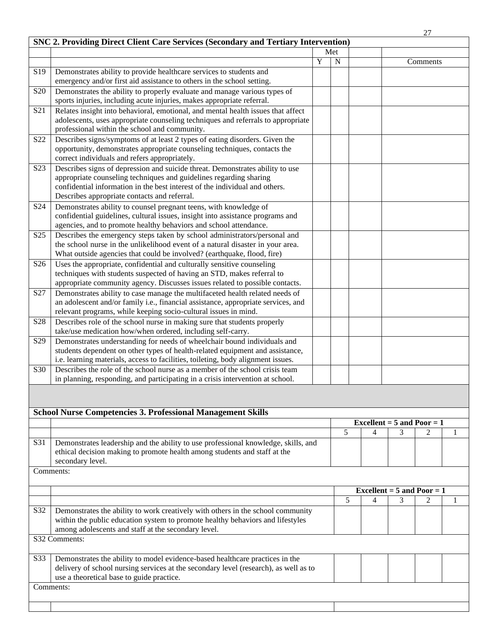|                  |                                                                                                                                                                                                                                        |   |                |                |                                | 27             |              |
|------------------|----------------------------------------------------------------------------------------------------------------------------------------------------------------------------------------------------------------------------------------|---|----------------|----------------|--------------------------------|----------------|--------------|
|                  | <b>SNC 2. Providing Direct Client Care Services (Secondary and Tertiary Intervention)</b>                                                                                                                                              |   |                |                |                                |                |              |
|                  |                                                                                                                                                                                                                                        |   | Met            |                |                                |                |              |
|                  |                                                                                                                                                                                                                                        | Y | $\overline{N}$ |                |                                | Comments       |              |
| S <sub>19</sub>  | Demonstrates ability to provide healthcare services to students and                                                                                                                                                                    |   |                |                |                                |                |              |
|                  | emergency and/or first aid assistance to others in the school setting.                                                                                                                                                                 |   |                |                |                                |                |              |
| S <sub>20</sub>  | Demonstrates the ability to properly evaluate and manage various types of<br>sports injuries, including acute injuries, makes appropriate referral.                                                                                    |   |                |                |                                |                |              |
| S21              | Relates insight into behavioral, emotional, and mental health issues that affect                                                                                                                                                       |   |                |                |                                |                |              |
|                  | adolescents, uses appropriate counseling techniques and referrals to appropriate<br>professional within the school and community.                                                                                                      |   |                |                |                                |                |              |
| S <sub>22</sub>  | Describes signs/symptoms of at least 2 types of eating disorders. Given the                                                                                                                                                            |   |                |                |                                |                |              |
|                  | opportunity, demonstrates appropriate counseling techniques, contacts the<br>correct individuals and refers appropriately.                                                                                                             |   |                |                |                                |                |              |
| S <sub>2</sub> 3 | Describes signs of depression and suicide threat. Demonstrates ability to use                                                                                                                                                          |   |                |                |                                |                |              |
|                  | appropriate counseling techniques and guidelines regarding sharing<br>confidential information in the best interest of the individual and others.                                                                                      |   |                |                |                                |                |              |
|                  | Describes appropriate contacts and referral.                                                                                                                                                                                           |   |                |                |                                |                |              |
| S <sub>24</sub>  | Demonstrates ability to counsel pregnant teens, with knowledge of<br>confidential guidelines, cultural issues, insight into assistance programs and                                                                                    |   |                |                |                                |                |              |
|                  | agencies, and to promote healthy behaviors and school attendance.                                                                                                                                                                      |   |                |                |                                |                |              |
| S <sub>25</sub>  | Describes the emergency steps taken by school administrators/personal and<br>the school nurse in the unlikelihood event of a natural disaster in your area.<br>What outside agencies that could be involved? (earthquake, flood, fire) |   |                |                |                                |                |              |
|                  |                                                                                                                                                                                                                                        |   |                |                |                                |                |              |
| S <sub>26</sub>  | Uses the appropriate, confidential and culturally sensitive counseling<br>techniques with students suspected of having an STD, makes referral to<br>appropriate community agency. Discusses issues related to possible contacts.       |   |                |                |                                |                |              |
| S27              | Demonstrates ability to case manage the multifaceted health related needs of                                                                                                                                                           |   |                |                |                                |                |              |
|                  | an adolescent and/or family i.e., financial assistance, appropriate services, and                                                                                                                                                      |   |                |                |                                |                |              |
|                  | relevant programs, while keeping socio-cultural issues in mind.                                                                                                                                                                        |   |                |                |                                |                |              |
| S <sub>28</sub>  | Describes role of the school nurse in making sure that students properly                                                                                                                                                               |   |                |                |                                |                |              |
|                  | take/use medication how/when ordered, including self-carry.                                                                                                                                                                            |   |                |                |                                |                |              |
| S <sub>29</sub>  | Demonstrates understanding for needs of wheelchair bound individuals and                                                                                                                                                               |   |                |                |                                |                |              |
|                  | students dependent on other types of health-related equipment and assistance,<br>i.e. learning materials, access to facilities, toileting, body alignment issues.                                                                      |   |                |                |                                |                |              |
| S30              | Describes the role of the school nurse as a member of the school crisis team                                                                                                                                                           |   |                |                |                                |                |              |
|                  | in planning, responding, and participating in a crisis intervention at school.                                                                                                                                                         |   |                |                |                                |                |              |
|                  |                                                                                                                                                                                                                                        |   |                |                |                                |                |              |
|                  |                                                                                                                                                                                                                                        |   |                |                |                                |                |              |
|                  | <b>School Nurse Competencies 3. Professional Management Skills</b>                                                                                                                                                                     |   |                |                |                                |                |              |
|                  |                                                                                                                                                                                                                                        |   |                |                | Excellent = $5$ and Poor = $1$ |                |              |
|                  |                                                                                                                                                                                                                                        |   | 5              | $\overline{4}$ | 3                              | $\overline{2}$ | 1            |
| S31              | Demonstrates leadership and the ability to use professional knowledge, skills, and<br>ethical decision making to promote health among students and staff at the<br>secondary level.                                                    |   |                |                |                                |                |              |
|                  | Comments:                                                                                                                                                                                                                              |   |                |                |                                |                |              |
|                  |                                                                                                                                                                                                                                        |   |                |                |                                |                |              |
|                  |                                                                                                                                                                                                                                        |   |                |                | Excellent = $5$ and Poor = $1$ |                |              |
|                  |                                                                                                                                                                                                                                        |   | 5              | 4              | 3                              | $\overline{2}$ | $\mathbf{1}$ |
| S32              | Demonstrates the ability to work creatively with others in the school community<br>within the public education system to promote healthy behaviors and lifestyles<br>among adolescents and staff at the secondary level.               |   |                |                |                                |                |              |
|                  | S32 Comments:                                                                                                                                                                                                                          |   |                |                |                                |                |              |
| S33              | Demonstrates the ability to model evidence-based healthcare practices in the<br>delivery of school nursing services at the secondary level (research), as well as to<br>use a theoretical base to guide practice.                      |   |                |                |                                |                |              |
|                  | Comments:                                                                                                                                                                                                                              |   |                |                |                                |                |              |
|                  |                                                                                                                                                                                                                                        |   |                |                |                                |                |              |
|                  |                                                                                                                                                                                                                                        |   |                |                |                                |                |              |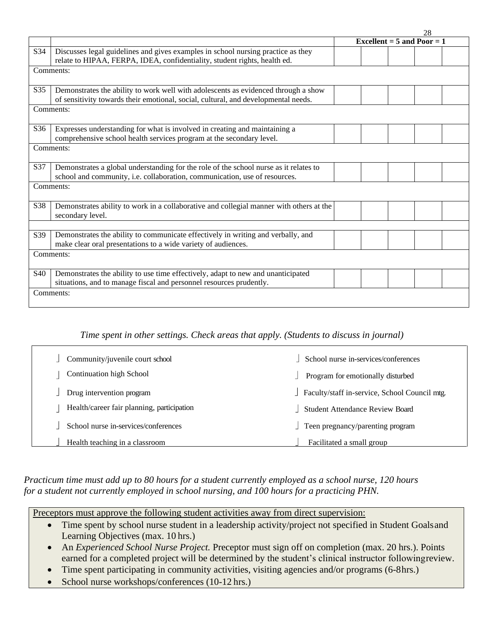|     |                                                                                         | 28                           |  |
|-----|-----------------------------------------------------------------------------------------|------------------------------|--|
|     |                                                                                         | Excellent = $5$ and Poor = 1 |  |
| S34 | Discusses legal guidelines and gives examples in school nursing practice as they        |                              |  |
|     | relate to HIPAA, FERPA, IDEA, confidentiality, student rights, health ed.               |                              |  |
|     | Comments:                                                                               |                              |  |
|     |                                                                                         |                              |  |
| S35 | Demonstrates the ability to work well with adolescents as evidenced through a show      |                              |  |
|     | of sensitivity towards their emotional, social, cultural, and developmental needs.      |                              |  |
|     | Comments:                                                                               |                              |  |
|     |                                                                                         |                              |  |
| S36 | Expresses understanding for what is involved in creating and maintaining a              |                              |  |
|     | comprehensive school health services program at the secondary level.                    |                              |  |
|     | Comments:                                                                               |                              |  |
|     |                                                                                         |                              |  |
| S37 | Demonstrates a global understanding for the role of the school nurse as it relates to   |                              |  |
|     | school and community, i.e. collaboration, communication, use of resources.              |                              |  |
|     | Comments:                                                                               |                              |  |
|     |                                                                                         |                              |  |
| S38 | Demonstrates ability to work in a collaborative and collegial manner with others at the |                              |  |
|     | secondary level.                                                                        |                              |  |
|     |                                                                                         |                              |  |
| S39 | Demonstrates the ability to communicate effectively in writing and verbally, and        |                              |  |
|     | make clear oral presentations to a wide variety of audiences.                           |                              |  |
|     | Comments:                                                                               |                              |  |
|     |                                                                                         |                              |  |
| S40 | Demonstrates the ability to use time effectively, adapt to new and unanticipated        |                              |  |
|     | situations, and to manage fiscal and personnel resources prudently.                     |                              |  |
|     | Comments:                                                                               |                              |  |
|     |                                                                                         |                              |  |

# *Time spent in other settings. Check areas that apply. (Students to discuss in journal)*

| Community/juvenile court school            | School nurse in-services/conferences          |
|--------------------------------------------|-----------------------------------------------|
| <b>Continuation high School</b>            | Program for emotionally disturbed             |
| Drug intervention program                  | Faculty/staff in-service, School Council mtg. |
| Health/career fair planning, participation | <b>Student Attendance Review Board</b>        |
| School nurse in-services/conferences       | Teen pregnancy/parenting program              |
| Health teaching in a classroom             | Facilitated a small group                     |

# *Practicum time must add up to 80 hours for a student currently employed as a school nurse, 120 hours for a student not currently employed in school nursing, and 100 hours for a practicing PHN.*

Preceptors must approve the following student activities away from direct supervision:

- Time spent by school nurse student in a leadership activity/project not specified in Student Goals and Learning Objectives (max. 10 hrs.)
- An *Experienced School Nurse Project*. Preceptor must sign off on completion (max. 20 hrs.). Points earned for a completed project will be determined by the student's clinical instructor followingreview.
- Time spent participating in community activities, visiting agencies and/or programs (6-8hrs.)
- School nurse workshops/conferences (10-12 hrs.)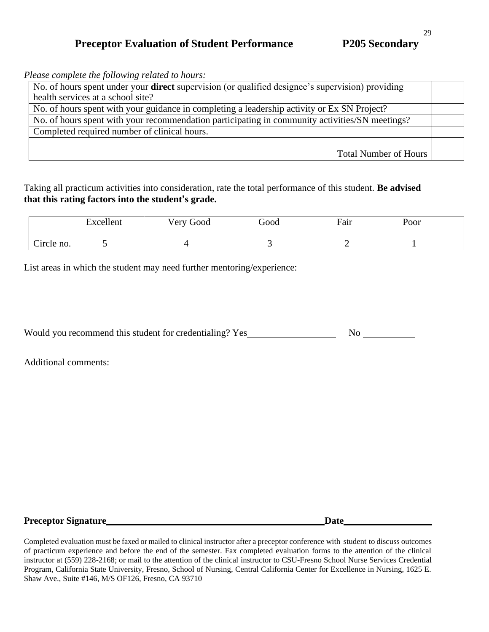# **Preceptor Evaluation of Student Performance P205 Secondary**

*Please complete the following related to hours:*

| No. of hours spent under your <b>direct</b> supervision (or qualified designee's supervision) providing |  |
|---------------------------------------------------------------------------------------------------------|--|
| health services at a school site?                                                                       |  |
| No. of hours spent with your guidance in completing a leadership activity or Ex SN Project?             |  |
| No. of hours spent with your recommendation participating in community activities/SN meetings?          |  |
| Completed required number of clinical hours.                                                            |  |
|                                                                                                         |  |
| Total Number of Hours                                                                                   |  |

Taking all practicum activities into consideration, rate the total performance of this student. **Be advised that this rating factors into the student's grade.**

|            | Excellent | Very Good | boot' | Fair | Poor |  |
|------------|-----------|-----------|-------|------|------|--|
| Circle no. |           |           |       |      |      |  |

List areas in which the student may need further mentoring/experience:

| Would you recommend this student for credentialing? Yes |  |
|---------------------------------------------------------|--|
|                                                         |  |

Additional comments:

| <b>Preceptor Signature</b> |  |  |
|----------------------------|--|--|
|----------------------------|--|--|

Completed evaluation must be faxed or mailed to clinical instructor after a preceptor conference with student to discuss outcomes of practicum experience and before the end of the semester. Fax completed evaluation forms to the attention of the clinical instructor at (559) 228-2168; or mail to the attention of the clinical instructor to CSU-Fresno School Nurse Services Credential Program, California State University, Fresno, School of Nursing, Central California Center for Excellence in Nursing, 1625 E. Shaw Ave., Suite #146, M/S OF126, Fresno, CA 93710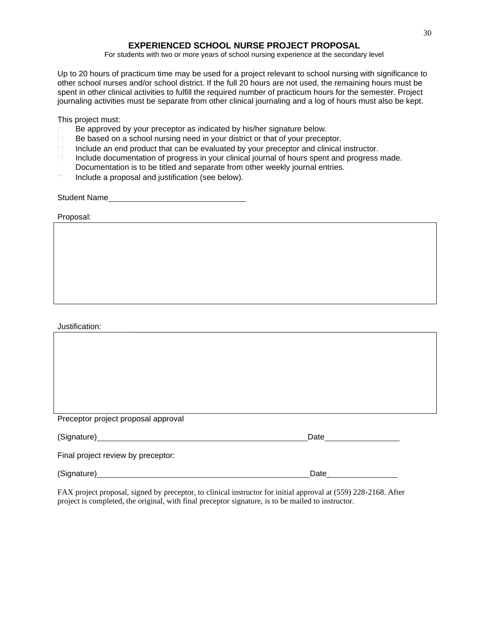# **EXPERIENCED SCHOOL NURSE PROJECT PROPOSAL**

For students with two or more years of school nursing experience at the secondary level

Up to 20 hours of practicum time may be used for a project relevant to school nursing with significance to other school nurses and/or school district. If the full 20 hours are not used, the remaining hours must be spent in other clinical activities to fulfill the required number of practicum hours for the semester. Project journaling activities must be separate from other clinical journaling and a log of hours must also be kept.

This project must:

- Be approved by your preceptor as indicated by his/her signature below.
- Be based on a school nursing need in your district or that of your preceptor.
- Include an end product that can be evaluated by your preceptor and clinical instructor.
- Include documentation of progress in your clinical journal of hours spent and progress made. Documentation is to be titled and separate from other weekly journal entries.
- Include a proposal and justification (see below).

Student Name

Proposal:

Justification:

| Preceptor project proposal approval |        |  |
|-------------------------------------|--------|--|
|                                     | Date   |  |
| Final project review by preceptor:  |        |  |
| (Signature)                         | Date__ |  |

FAX project proposal, signed by preceptor, to clinical instructor for initial approval at (559) 228-2168. After project is completed, the original, with final preceptor signature, is to be mailed to instructor.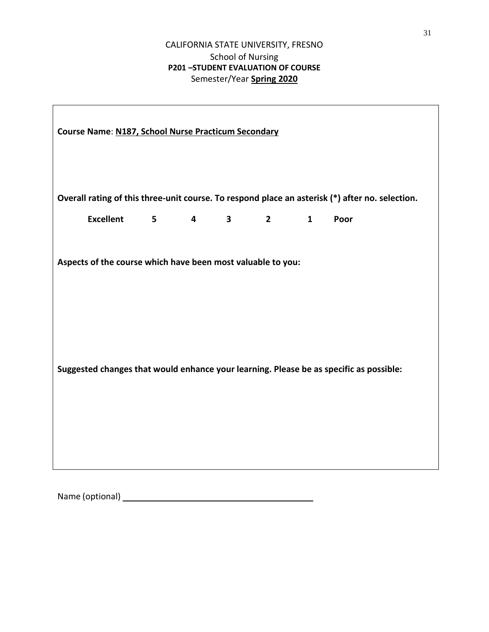# CALIFORNIA STATE UNIVERSITY, FRESNO School of Nursing **P201 –STUDENT EVALUATION OF COURSE** Semester/Year **Spring 2020**

| Course Name: N187, School Nurse Practicum Secondary                                                                                                   |                |                         |              |             |              |                                                                                                 |
|-------------------------------------------------------------------------------------------------------------------------------------------------------|----------------|-------------------------|--------------|-------------|--------------|-------------------------------------------------------------------------------------------------|
|                                                                                                                                                       |                |                         |              |             |              | Overall rating of this three-unit course. To respond place an asterisk (*) after no. selection. |
| <b>Excellent</b>                                                                                                                                      | 5 <sub>1</sub> | $\overline{\mathbf{4}}$ | $\mathbf{3}$ | $2^{\circ}$ | $\mathbf{1}$ | Poor                                                                                            |
| Aspects of the course which have been most valuable to you:<br>Suggested changes that would enhance your learning. Please be as specific as possible: |                |                         |              |             |              |                                                                                                 |

Name (optional)

 $\Gamma$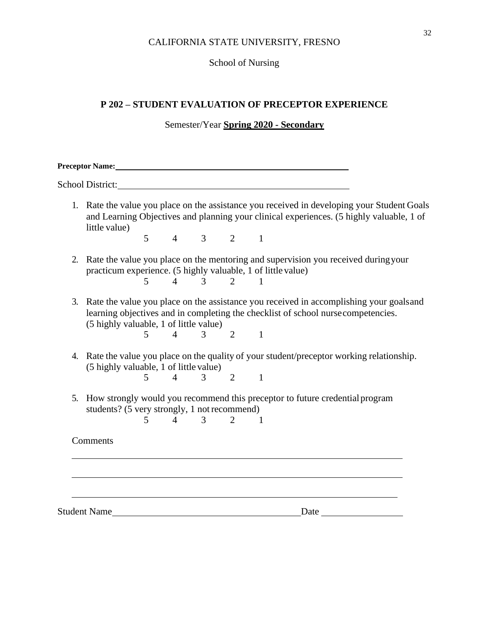#### CALIFORNIA STATE UNIVERSITY, FRESNO

# School of Nursing

# **P 202 – STUDENT EVALUATION OF PRECEPTOR EXPERIENCE**

#### Semester/Year **Spring 2020 - Secondary**

| <b>Preceptor Name:</b>  |  |  |
|-------------------------|--|--|
| <b>School District:</b> |  |  |

1. Rate the value you place on the assistance you received in developing your Student Goals and Learning Objectives and planning your clinical experiences. (5 highly valuable, 1 of little value)

5 4 3 2 1

- 2. Rate the value you place on the mentoring and supervision you received duringyour practicum experience. (5 highly valuable, 1 of little value) 5 4 3 2 1
- 3. Rate the value you place on the assistance you received in accomplishing your goalsand learning objectives and in completing the checklist of school nursecompetencies. (5 highly valuable, 1 of little value)

5 4 3 2 1

- 4. Rate the value you place on the quality of your student/preceptor working relationship. (5 highly valuable, 1 of little value) 5 4 3 2 1
- 5. How strongly would you recommend this preceptor to future credential program students? (5 very strongly, 1 notrecommend)

5 4 3 2 1

**Comments** 

Student Name Date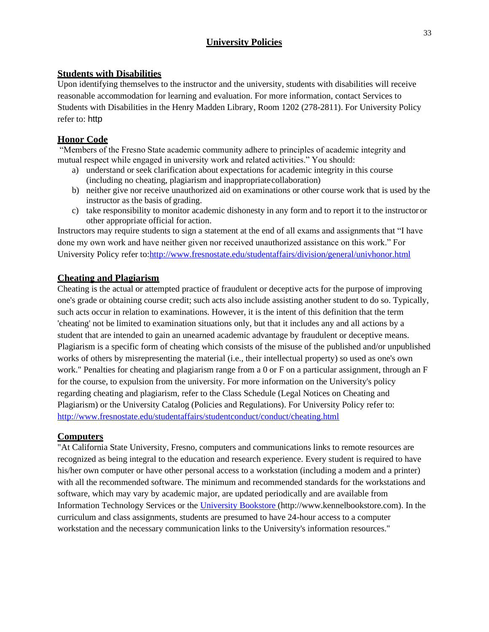# **University Policies**

# **Students with Disabilities**

Upon identifying themselves to the instructor and the university, students with disabilities will receive reasonable accommodation for learning and evaluation. For more information, contact Services to Students with Disabilities in the Henry Madden Library, Room 1202 (278-2811). For University Policy refer to: http

# **Honor Code**

"Members of the Fresno State academic community adhere to principles of academic integrity and mutual respect while engaged in university work and related activities." You should:

- a) understand or seek clarification about expectations for academic integrity in this course (including no cheating, plagiarism and inappropriatecollaboration)
- b) neither give nor receive unauthorized aid on examinations or other course work that is used by the instructor as the basis of grading.
- c) take responsibility to monitor academic dishonesty in any form and to report it to the instructor or other appropriate official for action.

Instructors may require students to sign a statement at the end of all exams and assignments that "I have done my own work and have neither given nor received unauthorized assistance on this work." For University Policy refer to[:http://www.fresnostate.edu/studentaffairs/division/general/univhonor.html](http://www.fresnostate.edu/studentaffairs/division/general/univhonor.html)

# **Cheating and Plagiarism**

Cheating is the actual or attempted practice of fraudulent or deceptive acts for the purpose of improving one's grade or obtaining course credit; such acts also include assisting another student to do so. Typically, such acts occur in relation to examinations. However, it is the intent of this definition that the term 'cheating' not be limited to examination situations only, but that it includes any and all actions by a student that are intended to gain an unearned academic advantage by fraudulent or deceptive means. Plagiarism is a specific form of cheating which consists of the misuse of the published and/or unpublished works of others by misrepresenting the material (i.e., their intellectual property) so used as one's own work." Penalties for cheating and plagiarism range from a 0 or F on a particular assignment, through an F for the course, to expulsion from the university. For more information on the University's policy regarding cheating and plagiarism, refer to the Class Schedule (Legal Notices on Cheating and Plagiarism) or the University Catalog (Policies and Regulations). For University Policy refer to: <http://www.fresnostate.edu/studentaffairs/studentconduct/conduct/cheating.html>

# **Computers**

"At California State University, Fresno, computers and communications links to remote resources are recognized as being integral to the education and research experience. Every student is required to have his/her own computer or have other personal access to a workstation (including a modem and a printer) with all the recommended software. The minimum and recommended standards for the workstations and software, which may vary by academic major, are updated periodically and are available from Information Technology Services or the [University Bookstore \(](http://www.kennelbookstore.com/SiteText.aspx?id=20666)http://www.kennelbookstore.com). In the curriculum and class assignments, students are presumed to have 24-hour access to a computer workstation and the necessary communication links to the University's information resources."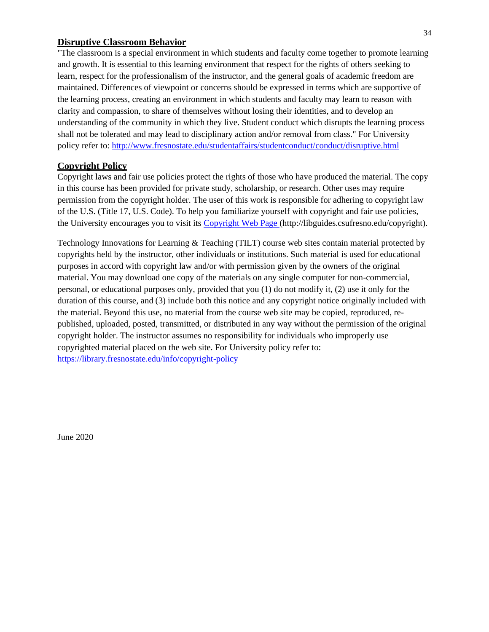#### **Disruptive Classroom Behavior**

"The classroom is a special environment in which students and faculty come together to promote learning and growth. It is essential to this learning environment that respect for the rights of others seeking to learn, respect for the professionalism of the instructor, and the general goals of academic freedom are maintained. Differences of viewpoint or concerns should be expressed in terms which are supportive of the learning process, creating an environment in which students and faculty may learn to reason with clarity and compassion, to share of themselves without losing their identities, and to develop an understanding of the community in which they live. Student conduct which disrupts the learning process shall not be tolerated and may lead to disciplinary action and/or removal from class." For University policy refer to:<http://www.fresnostate.edu/studentaffairs/studentconduct/conduct/disruptive.html>

#### **Copyright Policy**

Copyright laws and fair use policies protect the rights of those who have produced the material. The copy in this course has been provided for private study, scholarship, or research. Other uses may require permission from the copyright holder. The user of this work is responsible for adhering to copyright law of the U.S. (Title 17, U.S. Code). To help you familiarize yourself with copyright and fair use policies, the University encourages you to visit its [Copyright Web Page \(http://libguides.csufresno.edu/copyright\).](http://libguides.csufresno.edu/copyright)

Technology Innovations for Learning & Teaching (TILT) course web sites contain material protected by copyrights held by the instructor, other individuals or institutions. Such material is used for educational purposes in accord with copyright law and/or with permission given by the owners of the original material. You may download one copy of the materials on any single computer for non-commercial, personal, or educational purposes only, provided that you (1) do not modify it, (2) use it only for the duration of this course, and (3) include both this notice and any copyright notice originally included with the material. Beyond this use, no material from the course web site may be copied, reproduced, republished, uploaded, posted, transmitted, or distributed in any way without the permission of the original copyright holder. The instructor assumes no responsibility for individuals who improperly use copyrighted material placed on the web site. For University policy refer to: <https://library.fresnostate.edu/info/copyright-policy>

June 2020